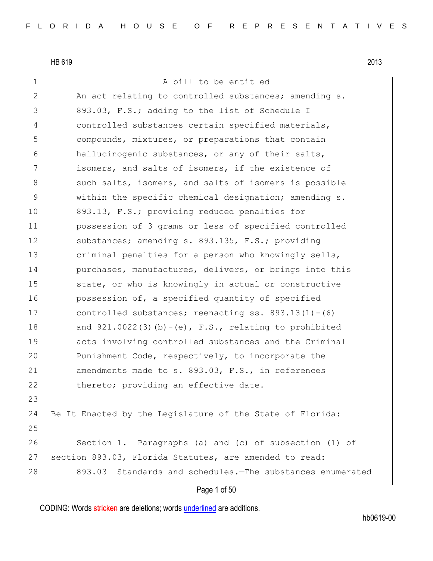#### 1 a bill to be entitled

2 An act relating to controlled substances; amending s. 3 893.03, F.S.; adding to the list of Schedule I 4 controlled substances certain specified materials, 5 compounds, mixtures, or preparations that contain 6 hallucinogenic substances, or any of their salts, 7 **isomers, and salts of isomers, if the existence of** 8 such salts, isomers, and salts of isomers is possible 9 within the specific chemical designation; amending s. 10 893.13, F.S.; providing reduced penalties for 11 possession of 3 grams or less of specified controlled 12 substances; amending s. 893.135, F.S.; providing 13 criminal penalties for a person who knowingly sells, 14 purchases, manufactures, delivers, or brings into this 15 state, or who is knowingly in actual or constructive 16 possession of, a specified quantity of specified 17 controlled substances; reenacting ss. 893.13(1)-(6) 18 and  $921.0022(3)(b)-(e)$ , F.S., relating to prohibited 19 acts involving controlled substances and the Criminal 20 Punishment Code, respectively, to incorporate the 21 amendments made to s. 893.03, F.S., in references 22 thereto; providing an effective date. 23 24 Be It Enacted by the Legislature of the State of Florida: 25 26 Section 1. Paragraphs (a) and (c) of subsection (1) of 27 section 893.03, Florida Statutes, are amended to read: 28 893.03 Standards and schedules.—The substances enumerated

# Page 1 of 50

CODING: Words stricken are deletions; words underlined are additions.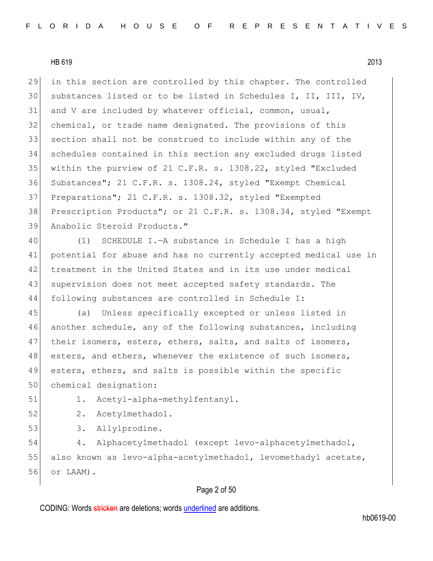in this section are controlled by this chapter. The controlled substances listed or to be listed in Schedules I, II, III, IV, 31 and V are included by whatever official, common, usual, chemical, or trade name designated. The provisions of this section shall not be construed to include within any of the schedules contained in this section any excluded drugs listed within the purview of 21 C.F.R. s. 1308.22, styled "Excluded Substances"; 21 C.F.R. s. 1308.24, styled "Exempt Chemical Preparations"; 21 C.F.R. s. 1308.32, styled "Exempted Prescription Products"; or 21 C.F.R. s. 1308.34, styled "Exempt Anabolic Steroid Products."

40 (1) SCHEDULE I.—A substance in Schedule I has a high 41 potential for abuse and has no currently accepted medical use in 42 treatment in the United States and in its use under medical 43 supervision does not meet accepted safety standards. The 44 following substances are controlled in Schedule I:

45 (a) Unless specifically excepted or unless listed in 46 another schedule, any of the following substances, including 47 | their isomers, esters, ethers, salts, and salts of isomers, 48 esters, and ethers, whenever the existence of such isomers, 49 esters, ethers, and salts is possible within the specific 50 chemical designation:

51 1. Acetyl-alpha-methylfentanyl.

52 2. Acetylmethadol.

53 3. Allylprodine.

54 4. Alphacetylmethadol (except levo-alphacetylmethadol, 55 also known as levo-alpha-acetylmethadol, levomethadyl acetate, 56 or LAAM).

# Page 2 of 50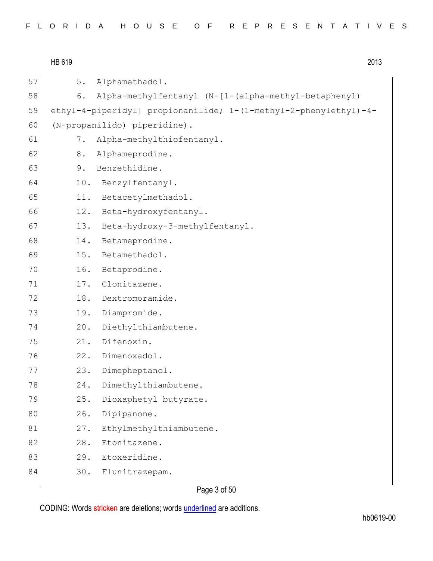HB 619 2013 57 5. Alphamethadol. 58 6. Alpha-methylfentanyl (N-[1-(alpha-methyl-betaphenyl) 59 ethyl-4-piperidyl] propionanilide; 1-(1-methyl-2-phenylethyl)-4- 60 (N-propanilido) piperidine). 61 7. Alpha-methylthiofentanyl. 62 8. Alphameprodine. 63 9. Benzethidine. 64 10. Benzylfentanyl. 65 11. Betacetylmethadol. 66 12. Beta-hydroxyfentanyl. 67 13. Beta-hydroxy-3-methylfentanyl. 68 14. Betameprodine. 69 15. Betamethadol. 70 16. Betaprodine. 71 17. Clonitazene. 72 18. Dextromoramide. 73 19. Diampromide. 74 20. Diethylthiambutene. 75 21. Difenoxin. 76 22. Dimenoxadol. 77 23. Dimepheptanol. 78 24. Dimethylthiambutene. 79 25. Dioxaphetyl butyrate. 80 26. Dipipanone. 81 27. Ethylmethylthiambutene. 82 28. Etonitazene. 83 29. Etoxeridine. 84 30. Flunitrazepam.

Page 3 of 50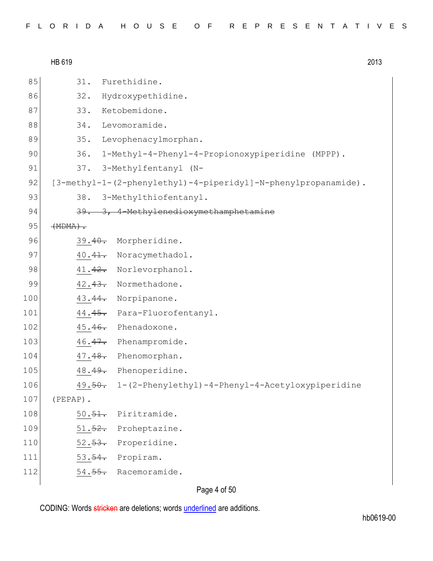|     | HB 619     |                                                                | 2013 |
|-----|------------|----------------------------------------------------------------|------|
| 85  | 31.        | Furethidine.                                                   |      |
| 86  | 32.        | Hydroxypethidine.                                              |      |
| 87  | 33.        | Ketobemidone.                                                  |      |
| 88  | 34.        | Levomoramide.                                                  |      |
| 89  |            | 35. Levophenacylmorphan.                                       |      |
| 90  |            | 36. 1-Methyl-4-Phenyl-4-Propionoxypiperidine (MPPP).           |      |
| 91  |            | 37. 3-Methylfentanyl (N-                                       |      |
| 92  |            | [3-methyl-1-(2-phenylethyl)-4-piperidyl]-N-phenylpropanamide). |      |
| 93  | 38.        | 3-Methylthiofentanyl.                                          |      |
| 94  |            | 39. 3, 4-Methylenedioxymethamphetamine                         |      |
| 95  | $(HDMA)$ . |                                                                |      |
| 96  |            | 39.40. Morpheridine.                                           |      |
| 97  |            | 40.41. Noracymethadol.                                         |      |
| 98  |            | 41.42. Norlevorphanol.                                         |      |
| 99  |            | 42.43. Normethadone.                                           |      |
| 100 |            | 43.44. Norpipanone.                                            |      |
| 101 |            | 44.45. Para-Fluorofentanyl.                                    |      |
| 102 |            | 45.46. Phenadoxone.                                            |      |
| 103 |            | 46.47. Phenampromide.                                          |      |
| 104 |            | 47.48. Phenomorphan.                                           |      |
| 105 | 48.49.     | Phenoperidine.                                                 |      |
| 106 |            | 49.50. 1-(2-Phenylethyl)-4-Phenyl-4-Acetyloxypiperidine        |      |
| 107 | (PEPAP).   |                                                                |      |
| 108 |            | 50.51. Piritramide.                                            |      |
| 109 |            | 51.52. Proheptazine.                                           |      |
| 110 |            | 52. <del>53.</del> Properidine.                                |      |
| 111 |            | 53. <del>54.</del> Propiram.                                   |      |
| 112 |            | 54.55. Racemoramide.                                           |      |
|     |            |                                                                |      |

Page 4 of 50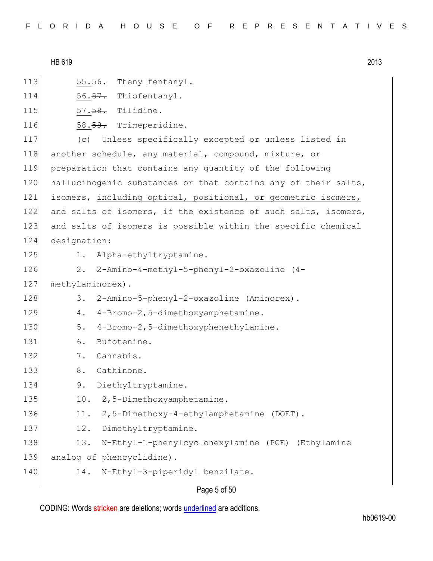| HB 619 | 2013 |
|--------|------|
|--------|------|

113 55.56. Thenylfentanyl.

- 114 56.<del>57.</del> Thiofentanyl.
- 115 57.<del>58.</del> Tilidine.
- 116 58.59. Trimeperidine.

 (c) Unless specifically excepted or unless listed in 118 another schedule, any material, compound, mixture, or preparation that contains any quantity of the following 120 hallucinogenic substances or that contains any of their salts, isomers, including optical, positional, or geometric isomers, 122 and salts of isomers, if the existence of such salts, isomers, and salts of isomers is possible within the specific chemical designation:

- 
- 125 1. Alpha-ethyltryptamine.
- 126 2. 2-Amino-4-methyl-5-phenyl-2-oxazoline (4-

127 methylaminorex).

- 128 3. 2-Amino-5-phenyl-2-oxazoline (Aminorex).
- 129 4. 4-Bromo-2,5-dimethoxyamphetamine.
- 130 5. 4-Bromo-2,5-dimethoxyphenethylamine.
- 131 6. Bufotenine.
- 132 7. Cannabis.
- 133 8. Cathinone.
- 134 9. Diethyltryptamine.
- 135 10. 2,5-Dimethoxyamphetamine.
- 136 11. 2,5-Dimethoxy-4-ethylamphetamine (DOET).
- 137 12. Dimethyltryptamine.
- 138 13. N-Ethyl-1-phenylcyclohexylamine (PCE) (Ethylamine
- 139 analog of phencyclidine).
- 140 14. N-Ethyl-3-piperidyl benzilate.

# Page 5 of 50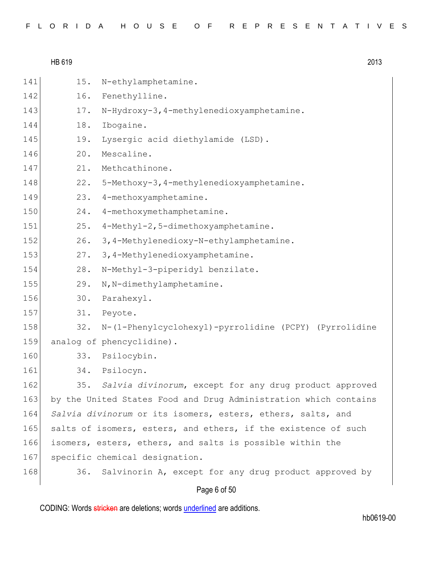|     | HB 619 | 2013                                                             |
|-----|--------|------------------------------------------------------------------|
| 141 | 15.    | N-ethylamphetamine.                                              |
| 142 | 16.    | Fenethylline.                                                    |
| 143 | 17.    | N-Hydroxy-3, 4-methylenedioxyamphetamine.                        |
| 144 | 18.    | Ibogaine.                                                        |
| 145 | 19.    | Lysergic acid diethylamide (LSD).                                |
| 146 | 20.    | Mescaline.                                                       |
| 147 | 21.    | Methcathinone.                                                   |
| 148 | 22.    | 5-Methoxy-3, 4-methylenedioxyamphetamine.                        |
| 149 | 23.    | 4-methoxyamphetamine.                                            |
| 150 | 24.    | 4-methoxymethamphetamine.                                        |
| 151 | 25.    | 4-Methyl-2,5-dimethoxyamphetamine.                               |
| 152 | 26.    | 3, 4-Methylenedioxy-N-ethylamphetamine.                          |
| 153 | 27.    | 3, 4-Methylenedioxyamphetamine.                                  |
| 154 | 28.    | N-Methyl-3-piperidyl benzilate.                                  |
| 155 | 29.    | N, N-dimethylamphetamine.                                        |
| 156 | 30.    | Parahexyl.                                                       |
| 157 | 31.    | Peyote.                                                          |
| 158 | 32.    | N-(1-Phenylcyclohexyl)-pyrrolidine (PCPY) (Pyrrolidine           |
| 159 |        | analog of phencyclidine).                                        |
| 160 |        | 33. Psilocybin.                                                  |
| 161 | 34.    | Psilocyn.                                                        |
| 162 |        | 35. Salvia divinorum, except for any drug product approved       |
| 163 |        | by the United States Food and Drug Administration which contains |
| 164 |        | Salvia divinorum or its isomers, esters, ethers, salts, and      |
| 165 |        | salts of isomers, esters, and ethers, if the existence of such   |
| 166 |        | isomers, esters, ethers, and salts is possible within the        |
| 167 |        | specific chemical designation.                                   |
| 168 | 36.    | Salvinorin A, except for any drug product approved by            |
|     |        | Page 6 of 50                                                     |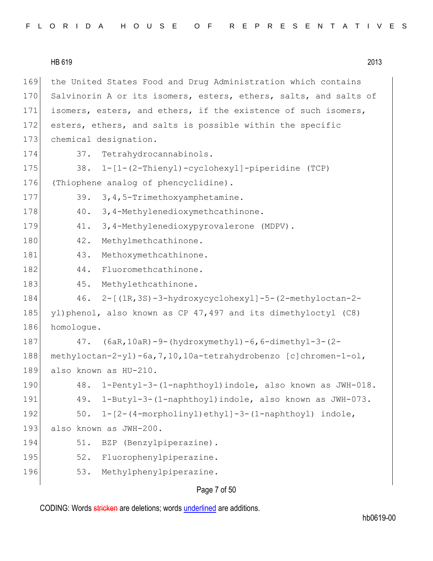|     | HB 619<br>2013                                                               |
|-----|------------------------------------------------------------------------------|
| 169 | the United States Food and Drug Administration which contains                |
| 170 | Salvinorin A or its isomers, esters, ethers, salts, and salts of             |
| 171 | isomers, esters, and ethers, if the existence of such isomers,               |
| 172 | esters, ethers, and salts is possible within the specific                    |
| 173 | chemical designation.                                                        |
| 174 | 37.<br>Tetrahydrocannabinols.                                                |
| 175 | 38. 1-[1-(2-Thienyl)-cyclohexyl]-piperidine (TCP)                            |
| 176 | (Thiophene analog of phencyclidine).                                         |
| 177 | 3, 4, 5-Trimethoxyamphetamine.<br>39.                                        |
| 178 | 3, 4-Methylenedioxymethcathinone.<br>40.                                     |
| 179 | 3,4-Methylenedioxypyrovalerone (MDPV).<br>41.                                |
| 180 | 42.<br>Methylmethcathinone.                                                  |
| 181 | 43.<br>Methoxymethcathinone.                                                 |
| 182 | Fluoromethcathinone.<br>44.                                                  |
| 183 | Methylethcathinone.<br>45.                                                   |
| 184 | $2 - [(1R, 3S) - 3 - hydroxycyclohexyl] - 5 - (2 - methyloctan - 2 -$<br>46. |
| 185 | yl)phenol, also known as CP 47,497 and its dimethyloctyl (C8)                |
| 186 | homologue.                                                                   |
| 187 | $(6aR, 10aR) - 9$ - (hydroxymethyl) -6, 6-dimethyl-3-(2-<br>47.              |
| 188 | methyloctan-2-yl)-6a, 7, 10, 10a-tetrahydrobenzo [c]chromen-1-ol,            |
| 189 | also known as HU-210.                                                        |
| 190 | 1-Pentyl-3-(1-naphthoyl)indole, also known as JWH-018.<br>48.                |
| 191 | 1-Butyl-3-(1-naphthoyl)indole, also known as JWH-073.<br>49.                 |
| 192 | 1-[2-(4-morpholinyl)ethyl]-3-(1-naphthoyl) indole,<br>50.                    |
| 193 | also known as JWH-200.                                                       |
| 194 | BZP (Benzylpiperazine).<br>51.                                               |
| 195 | 52.<br>Fluorophenylpiperazine.                                               |
| 196 | 53.<br>Methylphenylpiperazine.                                               |
|     | $Dess 7 - FCD$                                                               |

Page 7 of 50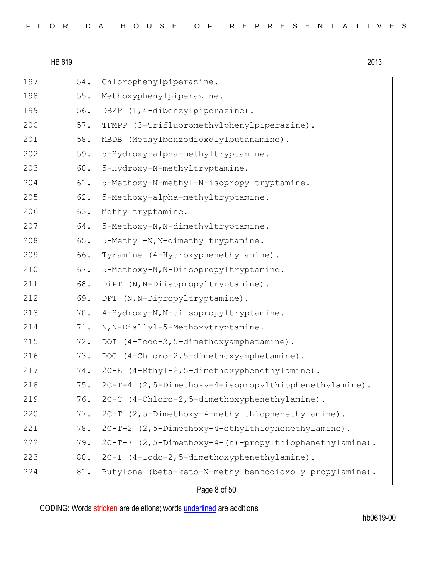| 197 | 54. | Chlorophenylpiperazine.                                |
|-----|-----|--------------------------------------------------------|
| 198 | 55. | Methoxyphenylpiperazine.                               |
| 199 | 56. | DBZP (1,4-dibenzylpiperazine).                         |
| 200 | 57. | TFMPP (3-Trifluoromethylphenylpiperazine).             |
| 201 | 58. | (Methylbenzodioxolylbutanamine).<br>MBDB               |
| 202 | 59. | 5-Hydroxy-alpha-methyltryptamine.                      |
| 203 | 60. | 5-Hydroxy-N-methyltryptamine.                          |
| 204 | 61. | 5-Methoxy-N-methyl-N-isopropyltryptamine.              |
| 205 | 62. | 5-Methoxy-alpha-methyltryptamine.                      |
| 206 | 63. | Methyltryptamine.                                      |
| 207 | 64. | 5-Methoxy-N, N-dimethyltryptamine.                     |
| 208 | 65. | 5-Methyl-N, N-dimethyltryptamine.                      |
| 209 | 66. | Tyramine (4-Hydroxyphenethylamine).                    |
| 210 | 67. | 5-Methoxy-N, N-Diisopropyltryptamine.                  |
| 211 | 68. | DiPT (N, N-Diisopropyltryptamine).                     |
| 212 | 69. | DPT (N, N-Dipropyltryptamine).                         |
| 213 | 70. | 4-Hydroxy-N, N-diisopropyltryptamine.                  |
| 214 | 71. | N, N-Diallyl-5-Methoxytryptamine.                      |
| 215 | 72. | DOI (4-Iodo-2,5-dimethoxyamphetamine).                 |
| 216 | 73. | DOC (4-Chloro-2,5-dimethoxyamphetamine).               |
| 217 | 74. | 2C-E (4-Ethyl-2,5-dimethoxyphenethylamine).            |
| 218 | 75. | 2C-T-4 (2,5-Dimethoxy-4-isopropylthiophenethylamine).  |
| 219 | 76. | 2C-C (4-Chloro-2,5-dimethoxyphenethylamine).           |
| 220 | 77. | 2C-T (2,5-Dimethoxy-4-methylthiophenethylamine).       |
| 221 | 78. | 2C-T-2 (2,5-Dimethoxy-4-ethylthiophenethylamine).      |
| 222 | 79. | 2C-T-7 (2,5-Dimethoxy-4-(n)-propylthiophenethylamine). |
| 223 | 80. | 2C-I (4-Iodo-2,5-dimethoxyphenethylamine).             |
| 224 | 81. | Butylone (beta-keto-N-methylbenzodioxolylpropylamine). |
|     |     |                                                        |

# Page 8 of 50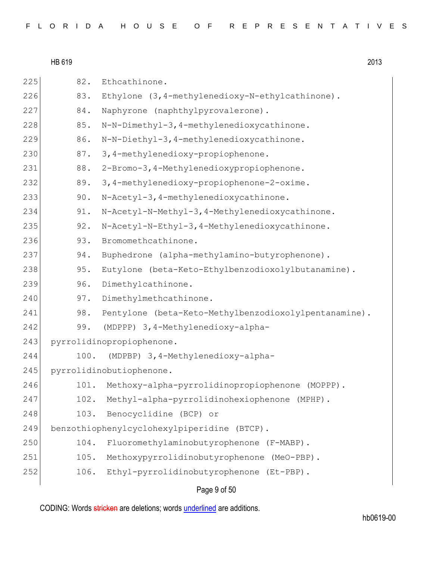|  |  |  |  |  |  |  |  |  |  |  |  |  |  |  |  |  |  |  |  |  |  |  |  |  |  |  |  |  |  |  | FLORIDA HOUSE OF REPRESENTATIVES |  |
|--|--|--|--|--|--|--|--|--|--|--|--|--|--|--|--|--|--|--|--|--|--|--|--|--|--|--|--|--|--|--|----------------------------------|--|
|--|--|--|--|--|--|--|--|--|--|--|--|--|--|--|--|--|--|--|--|--|--|--|--|--|--|--|--|--|--|--|----------------------------------|--|

225 82. Ethcathinone. 226 83. Ethylone (3,4-methylenedioxy-N-ethylcathinone). 227 84. Naphyrone (naphthylpyrovalerone). 228 85. N-N-Dimethyl-3,4-methylenedioxycathinone. 229 86. N-N-Diethyl-3,4-methylenedioxycathinone. 230 87. 3,4-methylenedioxy-propiophenone. 231 88. 2-Bromo-3,4-Methylenedioxypropiophenone. 232 89. 3,4-methylenedioxy-propiophenone-2-oxime. 233 90. N-Acetyl-3,4-methylenedioxycathinone. 234 91. N-Acetyl-N-Methyl-3,4-Methylenedioxycathinone. 235 92. N-Acetyl-N-Ethyl-3,4-Methylenedioxycathinone. 236 93. Bromomethcathinone. 237 94. Buphedrone (alpha-methylamino-butyrophenone). 238 95. Eutylone (beta-Keto-Ethylbenzodioxolylbutanamine). 239 96. Dimethylcathinone. 240 97. Dimethylmethcathinone. 241 98. Pentylone (beta-Keto-Methylbenzodioxolylpentanamine). 242 99. (MDPPP) 3,4-Methylenedioxy-alpha-243 pyrrolidinopropiophenone. 244 100. (MDPBP) 3,4-Methylenedioxy-alpha-245 pyrrolidinobutiophenone. 246 101. Methoxy-alpha-pyrrolidinopropiophenone (MOPPP). 247 102. Methyl-alpha-pyrrolidinohexiophenone (MPHP). 248 103. Benocyclidine (BCP) or 249 benzothiophenylcyclohexylpiperidine (BTCP). 250 104. Fluoromethylaminobutyrophenone (F-MABP). 251 105. Methoxypyrrolidinobutyrophenone (MeO-PBP). 252 106. Ethyl-pyrrolidinobutyrophenone (Et-PBP).

Page 9 of 50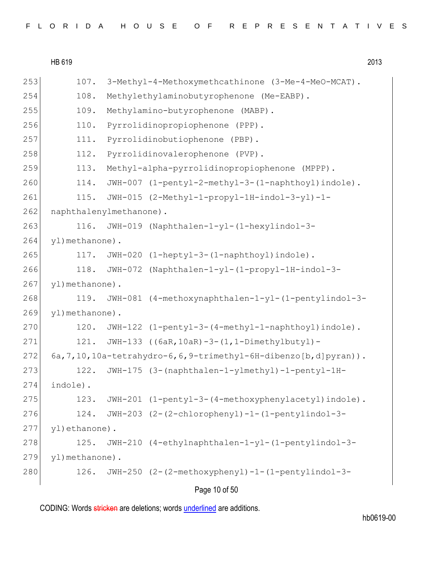| FLORIDA HOUSE OF REPRESENTATIVES |  |  |  |  |  |  |  |  |  |  |  |  |  |  |  |  |  |  |  |  |  |  |  |  |
|----------------------------------|--|--|--|--|--|--|--|--|--|--|--|--|--|--|--|--|--|--|--|--|--|--|--|--|
|----------------------------------|--|--|--|--|--|--|--|--|--|--|--|--|--|--|--|--|--|--|--|--|--|--|--|--|

| 253 | 107.                    | 3-Methyl-4-Methoxymethcathinone (3-Me-4-MeO-MCAT).                      |
|-----|-------------------------|-------------------------------------------------------------------------|
| 254 | 108.                    | Methylethylaminobutyrophenone (Me-EABP).                                |
| 255 | 109.                    | Methylamino-butyrophenone (MABP).                                       |
| 256 | 110.                    | Pyrrolidinopropiophenone (PPP).                                         |
| 257 | 111.                    | Pyrrolidinobutiophenone (PBP).                                          |
| 258 | 112.                    | Pyrrolidinovalerophenone (PVP).                                         |
| 259 | 113.                    | Methyl-alpha-pyrrolidinopropiophenone (MPPP).                           |
| 260 | 114.                    | JWH-007 (1-pentyl-2-methyl-3-(1-naphthoyl)indole).                      |
| 261 | 115.                    | JWH-015 (2-Methyl-1-propyl-1H-indol-3-yl)-1-                            |
| 262 | naphthalenylmethanone). |                                                                         |
| 263 | 116.                    | JWH-019 (Naphthalen-1-yl-(1-hexylindol-3-                               |
| 264 | yl) methanone).         |                                                                         |
| 265 |                         | 117. JWH-020 (1-heptyl-3-(1-naphthoyl)indole).                          |
| 266 | 118.                    | JWH-072 (Naphthalen-1-yl-(1-propyl-1H-indol-3-                          |
| 267 | yl) methanone).         |                                                                         |
| 268 | 119.                    | JWH-081 (4-methoxynaphthalen-1-yl-(1-pentylindol-3-                     |
| 269 | yl) methanone).         |                                                                         |
| 270 | 120.                    | JWH-122 (1-pentyl-3-(4-methyl-1-naphthoyl)indole).                      |
| 271 | 121.                    | JWH-133 ((6aR, 10aR) -3-(1, 1-Dimethylbutyl) -                          |
| 272 |                         | 6a, 7, 10, 10a-tetrahydro-6, 6, 9-trimethyl-6H-dibenzo [b, d] pyran) ). |
| 273 | 122.                    | JWH-175 (3-(naphthalen-1-ylmethyl)-1-pentyl-1H-                         |
| 274 | indole).                |                                                                         |
| 275 | 123.                    | JWH-201 (1-pentyl-3-(4-methoxyphenylacetyl)indole).                     |
| 276 | 124.                    | JWH-203 (2-(2-chlorophenyl)-1-(1-pentylindol-3-                         |
| 277 | yl)ethanone).           |                                                                         |
| 278 | 125.                    | JWH-210 (4-ethylnaphthalen-1-yl-(1-pentylindol-3-                       |
| 279 | yl) methanone).         |                                                                         |
| 280 | 126.                    | JWH-250 (2-(2-methoxyphenyl)-1-(1-pentylindol-3-                        |
|     |                         |                                                                         |

# Page 10 of 50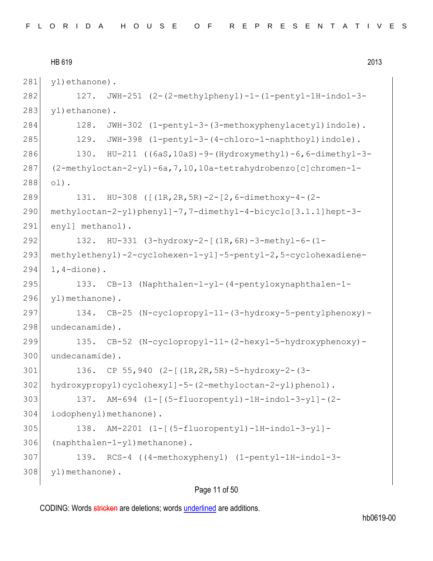```
HB 619 2013
281 yl)ethanone).
282 127. JWH-251 (2-(2-methylphenyl)-1-(1-pentyl-1H-indol-3-
283 yl)ethanone).
284 128. JWH-302 (1-pentyl-3-(3-methoxyphenylacetyl)indole).
285 129. JWH-398 (1-pentyl-3-(4-chloro-1-naphthoyl)indole).
286 130. HU-211 ((6aS,10aS)-9-(Hydroxymethyl)-6,6-dimethyl-3-
287 (2-methyloctan-2-yl)-6a,7,10,10a-tetrahydrobenzo[c]chromen-1-
288 ol).
289 131. HU-308 ([(1R,2R,5R)-2-[2,6-dimethoxy-4-(2-
290 methyloctan-2-yl)phenyl]-7,7-dimethyl-4-bicyclo[3.1.1]hept-3-
291 enyl] methanol).
292 132. HU-331 (3-hydroxy-2-[(1R,6R)-3-methyl-6-(1-
293 methylethenyl)-2-cyclohexen-1-yl]-5-pentyl-2,5-cyclohexadiene-
294 1, 4-dione).
295 133. CB-13 (Naphthalen-1-yl-(4-pentyloxynaphthalen-1-
296 yl)methanone).
297 134. CB-25 (N-cyclopropyl-11-(3-hydroxy-5-pentylphenoxy)-
298 undecanamide).
299 135. CB-52 (N-cyclopropyl-11-(2-hexyl-5-hydroxyphenoxy)-
300 undecanamide).
301 136. CP 55,940 (2-[(1R,2R,5R)-5-hydroxy-2-(3-
302 hydroxypropyl)cyclohexyl]-5-(2-methyloctan-2-yl)phenol).
303 137. AM-694 (1-[(5-fluoropentyl)-1H-indol-3-yl]-(2-
304 iodophenyl)methanone).
305 138. AM-2201 (1-[(5-fluoropentyl)-1H-indol-3-yl]-
306 (naphthalen-1-yl)methanone).
307 139. RCS-4 ((4-methoxyphenyl) (1-pentyl-1H-indol-3-
308 yl)methanone).
```
# Page 11 of 50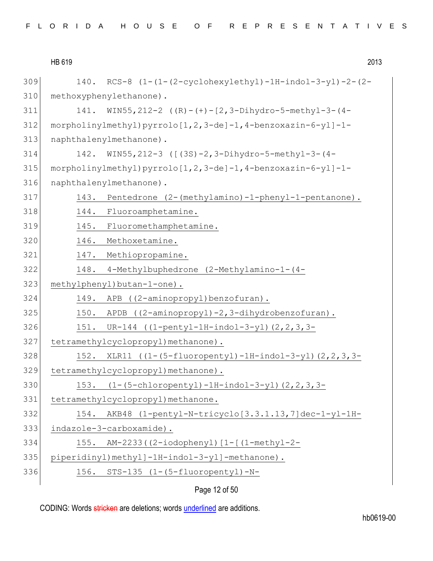| 309 | $RCS-8$ $(1-(1-(2-cyclohexylethyl)-1H-indol-3-yl)-2-(2-$<br>140. |
|-----|------------------------------------------------------------------|
| 310 | methoxyphenylethanone).                                          |
| 311 | WIN55, 212-2 $((R)-(+) - [2, 3-Dihydro-5-methyl-3-(4-$<br>141.   |
| 312 | morpholinylmethyl) pyrrolo[1,2,3-de]-1,4-benzoxazin-6-yl]-1-     |
| 313 | naphthalenylmethanone).                                          |
| 314 | WIN55, 212-3 ([(3S)-2, 3-Dihydro-5-methyl-3-(4-<br>142.          |
| 315 | morpholinylmethyl) pyrrolo[1,2,3-de]-1,4-benzoxazin-6-yl]-1-     |
| 316 | naphthalenylmethanone).                                          |
| 317 | Pentedrone (2-(methylamino)-1-phenyl-1-pentanone).<br>143.       |
| 318 | Fluoroamphetamine.<br>144.                                       |
| 319 | Fluoromethamphetamine.<br>145.                                   |
| 320 | 146.<br>Methoxetamine.                                           |
| 321 | 147. Methiopropamine.                                            |
| 322 | 4-Methylbuphedrone (2-Methylamino-1-(4-<br>148.                  |
| 323 | methylphenyl)butan-1-one).                                       |
| 324 | APB ((2-aminopropyl)benzofuran).<br>149.                         |
| 325 | APDB ((2-aminopropyl)-2,3-dihydrobenzofuran).<br>150.            |
| 326 | 151.<br>UR-144 $((1-penty1-1H-indol-3-y1)$ $(2, 2, 3, 3-$        |
| 327 | tetramethylcyclopropyl) methanone).                              |
| 328 | XLR11 ((1-(5-fluoropentyl)-1H-indol-3-yl)(2, 2, 3, 3-<br>152.    |
| 329 | tetramethylcyclopropyl) methanone).                              |
| 330 | 153. (1-(5-chloropentyl)-1H-indol-3-yl)(2,2,3,3-                 |
| 331 | tetramethylcyclopropyl) methanone.                               |
| 332 | AKB48 (1-pentyl-N-tricyclo[3.3.1.13,7]dec-1-yl-1H-<br>154.       |
| 333 | indazole-3-carboxamide).                                         |
| 334 | 155.<br>AM-2233((2-iodophenyl)[1-[(1-methyl-2-                   |
| 335 | piperidinyl)methyl]-1H-indol-3-yl]-methanone).                   |
| 336 | STS-135 (1-(5-fluoropentyl)-N-<br>156.                           |
|     | Page 12 of 50                                                    |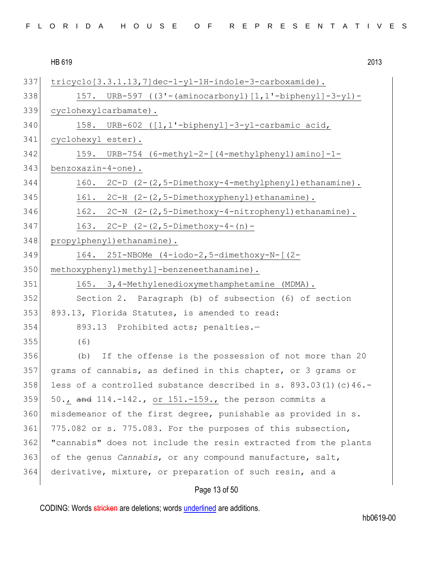|  | FLORIDA HOUSE OF REPRESENTATIVES |
|--|----------------------------------|
|--|----------------------------------|

HB 619 2013 Page 13 of 50 tricyclo[3.3.1.13,7]dec-1-yl-1H-indole-3-carboxamide). 157. URB-597 ((3'-(aminocarbonyl)[1,1'-biphenyl]-3-yl)- 339 cyclohexylcarbamate). 158. URB-602 ( $[1,1'$ -biphenyl]-3-yl-carbamic acid, cyclohexyl ester). 159. URB-754 (6-methyl-2-[(4-methylphenyl)amino]-1- 343 benzoxazin-4-one). 160. 2C-D  $(2-(2,5-Dimethoxy-4-methylphenyl)ethanamine)$ . 345 161. 2C-H (2-(2,5-Dimethoxyphenyl)ethanamine). 162. 2C-N  $(2-(2,5-Dimethoxy-4-nitrophenyl)ethanamine)$ . 163. 2C-P  $(2-(2,5-Dimethoxy-4-(n)-$  propylphenyl)ethanamine). 164. 25I-NBOMe (4-iodo-2,5-dimethoxy-N-[(2- 350 methoxyphenyl) methyl]-benzeneethanamine). 351 165. 3,4-Methylenedioxymethamphetamine (MDMA). Section 2. Paragraph (b) of subsection (6) of section 893.13, Florida Statutes, is amended to read: 354 893.13 Prohibited acts; penalties.- (6) (b) If the offense is the possession of not more than 20 grams of cannabis, as defined in this chapter, or 3 grams or 358 less of a controlled substance described in s.  $893.03(1)(c)46.$ - 50., and  $114.-142.$ , or  $151.-159.$ , the person commits a misdemeanor of the first degree, punishable as provided in s. 361 775.082 or s. 775.083. For the purposes of this subsection, "cannabis" does not include the resin extracted from the plants of the genus *Cannabis*, or any compound manufacture, salt, derivative, mixture, or preparation of such resin, and a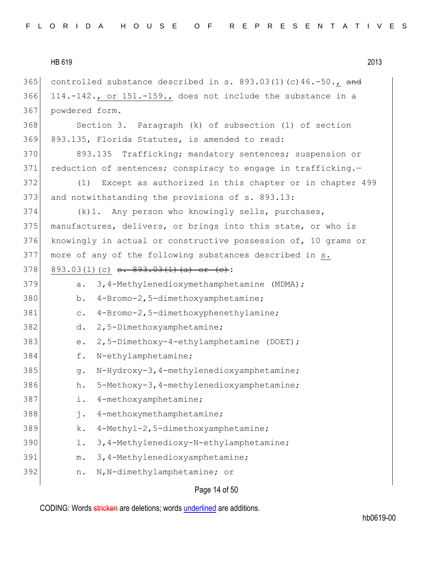| HB 619 | 2013 |
|--------|------|
|        |      |

365 controlled substance described in s.  $893.03(1)(c)46.-50$ ., and 366 114.-142., or 151.-159., does not include the substance in a 367 powdered form. 368 Section 3. Paragraph (k) of subsection (1) of section 369 893.135, Florida Statutes, is amended to read: 370 893.135 Trafficking; mandatory sentences; suspension or 371 reduction of sentences; conspiracy to engage in trafficking.-372 (1) Except as authorized in this chapter or in chapter 499 373 and notwithstanding the provisions of s. 893.13:  $374$  (k)1. Any person who knowingly sells, purchases, 375 manufactures, delivers, or brings into this state, or who is 376 knowingly in actual or constructive possession of, 10 grams or 377 more of any of the following substances described in s. 378 893.03(1)(c)  $s. 893.03(1)(a)$  or (c): 379 a. 3,4-Methylenedioxymethamphetamine (MDMA); 380 b. 4-Bromo-2,5-dimethoxyamphetamine; 381 c. 4-Bromo-2,5-dimethoxyphenethylamine; 382 d. 2,5-Dimethoxyamphetamine; 383 e. 2,5-Dimethoxy-4-ethylamphetamine (DOET); 384 f. N-ethylamphetamine; 385 g. N-Hydroxy-3,4-methylenedioxyamphetamine; 386 h. 5-Methoxy-3,4-methylenedioxyamphetamine; 387 i. 4-methoxyamphetamine; 388 j. 4-methoxymethamphetamine; 389 k. 4-Methyl-2,5-dimethoxyamphetamine; 390 l. 3,4-Methylenedioxy-N-ethylamphetamine; 391 m. 3,4-Methylenedioxyamphetamine; 392 n. N,N-dimethylamphetamine; or

# Page 14 of 50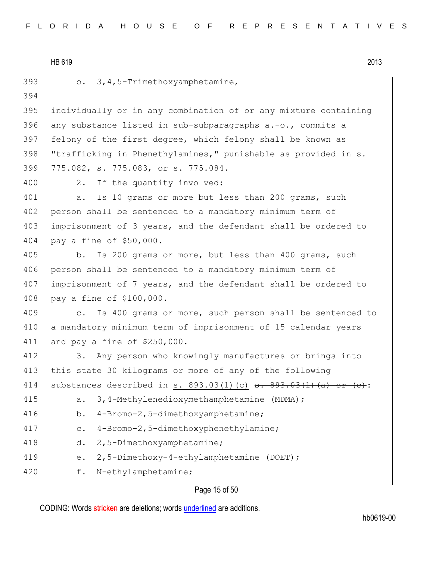|  |  |  |  |  |  |  |  | FLORIDA HOUSE OF REPRESENTATIVES |  |  |  |  |  |  |  |  |  |  |  |  |  |  |  |  |  |  |  |  |  |  |  |  |  |  |
|--|--|--|--|--|--|--|--|----------------------------------|--|--|--|--|--|--|--|--|--|--|--|--|--|--|--|--|--|--|--|--|--|--|--|--|--|--|
|--|--|--|--|--|--|--|--|----------------------------------|--|--|--|--|--|--|--|--|--|--|--|--|--|--|--|--|--|--|--|--|--|--|--|--|--|--|

HB 619 2013 393 o. 3, 4, 5-Trimethoxyamphetamine, 394 395 individually or in any combination of or any mixture containing 396 any substance listed in sub-subparagraphs  $a.-o.,$  commits a 397 felony of the first degree, which felony shall be known as 398 "trafficking in Phenethylamines," punishable as provided in s. 399 775.082, s. 775.083, or s. 775.084. 400 2. If the quantity involved: 401 a. Is 10 grams or more but less than 200 grams, such 402 person shall be sentenced to a mandatory minimum term of 403 imprisonment of 3 years, and the defendant shall be ordered to 404 pay a fine of \$50,000. 405 b. Is 200 grams or more, but less than 400 grams, such 406 person shall be sentenced to a mandatory minimum term of 407 imprisonment of 7 years, and the defendant shall be ordered to 408 pay a fine of \$100,000. 409 c. Is 400 grams or more, such person shall be sentenced to 410 a mandatory minimum term of imprisonment of 15 calendar years 411 and pay a fine of \$250,000. 412 3. Any person who knowingly manufactures or brings into 413 this state 30 kilograms or more of any of the following 414 substances described in s.  $893.03(1)(c)$  s.  $893.03(1)(a)$  or  $(c)$ : 415 a. 3,4-Methylenedioxymethamphetamine (MDMA); 416 b. 4-Bromo-2,5-dimethoxyamphetamine; 417 c. 4-Bromo-2,5-dimethoxyphenethylamine; 418 d. 2,5-Dimethoxyamphetamine; 419 e. 2,5-Dimethoxy-4-ethylamphetamine (DOET); 420 f. N-ethylamphetamine;

# Page 15 of 50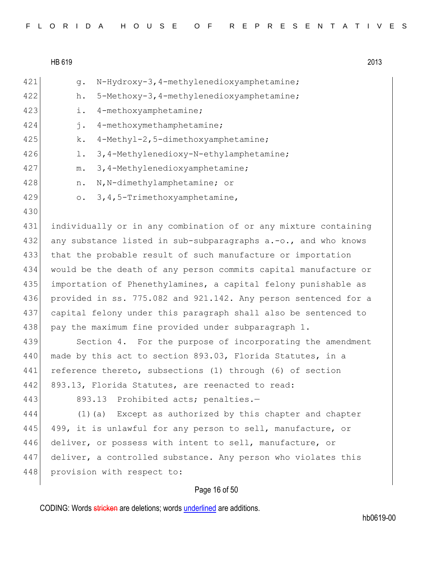| FLORIDA HOUSE OF REPRESENTATIVES |  |  |  |  |  |  |  |  |  |  |  |  |  |  |  |  |  |  |  |  |  |  |  |  |  |  |  |  |  |  |  |
|----------------------------------|--|--|--|--|--|--|--|--|--|--|--|--|--|--|--|--|--|--|--|--|--|--|--|--|--|--|--|--|--|--|--|
|----------------------------------|--|--|--|--|--|--|--|--|--|--|--|--|--|--|--|--|--|--|--|--|--|--|--|--|--|--|--|--|--|--|--|

| 421 | N-Hydroxy-3, 4-methylenedioxyamphetamine;<br>q.                 |
|-----|-----------------------------------------------------------------|
| 422 | 5-Methoxy-3, 4-methylenedioxyamphetamine;<br>h.                 |
| 423 | 4-methoxyamphetamine;<br>i.                                     |
| 424 | 4-methoxymethamphetamine;<br>j.                                 |
| 425 | 4-Methyl-2,5-dimethoxyamphetamine;<br>k.                        |
| 426 | 3, 4-Methylenedioxy-N-ethylamphetamine;<br>$\perp$ .            |
| 427 | 3, 4-Methylenedioxyamphetamine;<br>${\mathfrak m}$ .            |
| 428 | N, N-dimethylamphetamine; or<br>n.                              |
| 429 | 3, 4, 5-Trimethoxyamphetamine,<br>$\circ$ .                     |
| 430 |                                                                 |
| 431 | individually or in any combination of or any mixture containing |
| 432 | any substance listed in sub-subparagraphs a.-o., and who knows  |
| 433 | that the probable result of such manufacture or importation     |
| 434 | would be the death of any person commits capital manufacture or |
| 435 | importation of Phenethylamines, a capital felony punishable as  |
| 436 | provided in ss. 775.082 and 921.142. Any person sentenced for a |
| 437 | capital felony under this paragraph shall also be sentenced to  |
| 438 | pay the maximum fine provided under subparagraph 1.             |
| 439 | Section 4. For the purpose of incorporating the amendment       |
| 440 | made by this act to section 893.03, Florida Statutes, in a      |
| 441 | reference thereto, subsections (1) through (6) of section       |
| 442 | 893.13, Florida Statutes, are reenacted to read:                |
| 443 | 893.13 Prohibited acts; penalties.-                             |
| 444 | $(1)$ (a) Except as authorized by this chapter and chapter      |
| 445 | 499, it is unlawful for any person to sell, manufacture, or     |
| 446 | deliver, or possess with intent to sell, manufacture, or        |
| 447 | deliver, a controlled substance. Any person who violates this   |
| 448 | provision with respect to:                                      |
|     | Page 16 of 50                                                   |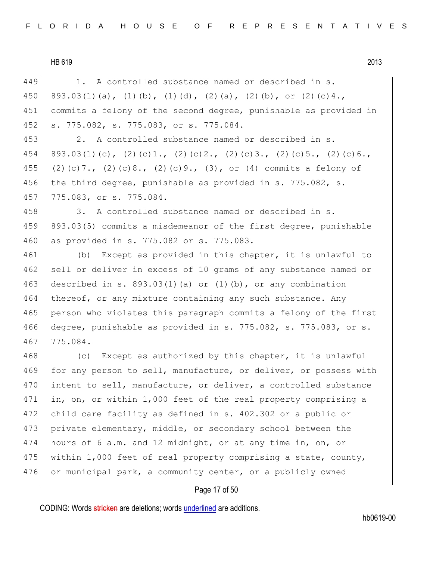449 1. A controlled substance named or described in s. 450 893.03(1)(a), (1)(b), (1)(d), (2)(a), (2)(b), or (2)(c)4., 451 commits a felony of the second degree, punishable as provided in 452 s. 775.082, s. 775.083, or s. 775.084. 453 2. A controlled substance named or described in s. 454 893.03(1)(c), (2)(c)1., (2)(c)2., (2)(c)3., (2)(c)5., (2)(c)6., 455 (2)(c)7., (2)(c)8., (2)(c)9., (3), or (4) commits a felony of 456 the third degree, punishable as provided in s. 775.082, s. 457 775.083, or s. 775.084. 458 3. A controlled substance named or described in s. 459 893.03(5) commits a misdemeanor of the first degree, punishable 460 as provided in s. 775.082 or s. 775.083. 461 (b) Except as provided in this chapter, it is unlawful to 462 sell or deliver in excess of 10 grams of any substance named or 463 described in s. 893.03(1)(a) or (1)(b), or any combination 464 thereof, or any mixture containing any such substance. Any 465 person who violates this paragraph commits a felony of the first 466 degree, punishable as provided in s. 775.082, s. 775.083, or s. 467 775.084. 468 (c) Except as authorized by this chapter, it is unlawful 469 for any person to sell, manufacture, or deliver, or possess with

470 intent to sell, manufacture, or deliver, a controlled substance 471 in, on, or within 1,000 feet of the real property comprising a 472 child care facility as defined in s. 402.302 or a public or 473 private elementary, middle, or secondary school between the 474 hours of 6 a.m. and 12 midnight, or at any time in, on, or 475 within 1,000 feet of real property comprising a state, county, 476 or municipal park, a community center, or a publicly owned

#### Page 17 of 50

CODING: Words stricken are deletions; words underlined are additions.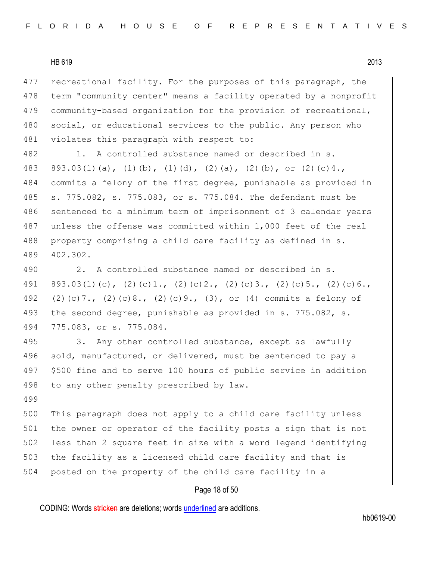499

477 recreational facility. For the purposes of this paragraph, the 478 term "community center" means a facility operated by a nonprofit 479 community-based organization for the provision of recreational, 480 social, or educational services to the public. Any person who 481 violates this paragraph with respect to:

482 1. A controlled substance named or described in s. 483 893.03(1)(a), (1)(b), (1)(d), (2)(a), (2)(b), or (2)(c)4., 484 commits a felony of the first degree, punishable as provided in 485 s. 775.082, s. 775.083, or s. 775.084. The defendant must be 486 sentenced to a minimum term of imprisonment of 3 calendar years 487 unless the offense was committed within 1,000 feet of the real 488 property comprising a child care facility as defined in s. 489 402.302.

490 2. A controlled substance named or described in s. 491 893.03(1)(c), (2)(c)1., (2)(c)2., (2)(c)3., (2)(c)5., (2)(c)6., 492 (2)(c)7., (2)(c)8., (2)(c)9., (3), or (4) commits a felony of 493 the second degree, punishable as provided in s. 775.082, s. 494 775.083, or s. 775.084.

495 3. Any other controlled substance, except as lawfully 496 sold, manufactured, or delivered, must be sentenced to pay a 497 \$500 fine and to serve 100 hours of public service in addition 498 to any other penalty prescribed by law.

500 This paragraph does not apply to a child care facility unless 501 the owner or operator of the facility posts a sign that is not 502 less than 2 square feet in size with a word legend identifying 503 the facility as a licensed child care facility and that is 504 posted on the property of the child care facility in a

#### Page 18 of 50

CODING: Words stricken are deletions; words underlined are additions.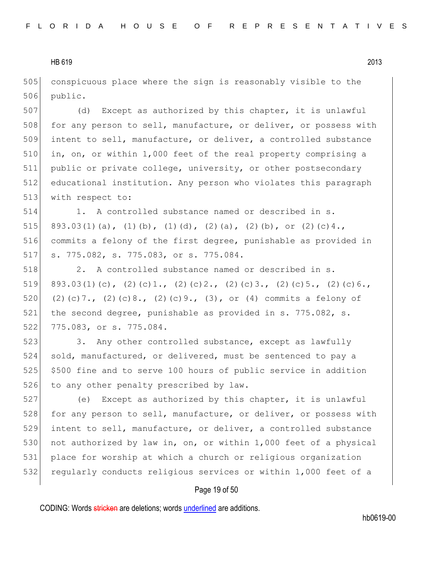505 conspicuous place where the sign is reasonably visible to the 506 public.

 (d) Except as authorized by this chapter, it is unlawful 508 for any person to sell, manufacture, or deliver, or possess with intent to sell, manufacture, or deliver, a controlled substance in, on, or within 1,000 feet of the real property comprising a public or private college, university, or other postsecondary educational institution. Any person who violates this paragraph 513 with respect to:

 1. A controlled substance named or described in s. 515 893.03(1)(a), (1)(b), (1)(d), (2)(a), (2)(b), or (2)(c)4., commits a felony of the first degree, punishable as provided in s. 775.082, s. 775.083, or s. 775.084.

518 2. A controlled substance named or described in s. 519 893.03(1)(c), (2)(c)1., (2)(c)2., (2)(c)3., (2)(c)5., (2)(c)6., 520 (2)(c)7., (2)(c)8., (2)(c)9., (3), or (4) commits a felony of 521 the second degree, punishable as provided in s. 775.082, s. 522 775.083, or s. 775.084.

523 3. Any other controlled substance, except as lawfully 524 sold, manufactured, or delivered, must be sentenced to pay a 525 \$500 fine and to serve 100 hours of public service in addition 526 to any other penalty prescribed by law.

527 (e) Except as authorized by this chapter, it is unlawful 528 for any person to sell, manufacture, or deliver, or possess with 529 intent to sell, manufacture, or deliver, a controlled substance 530 not authorized by law in, on, or within 1,000 feet of a physical 531 place for worship at which a church or religious organization 532 regularly conducts religious services or within 1,000 feet of a

#### Page 19 of 50

CODING: Words stricken are deletions; words underlined are additions.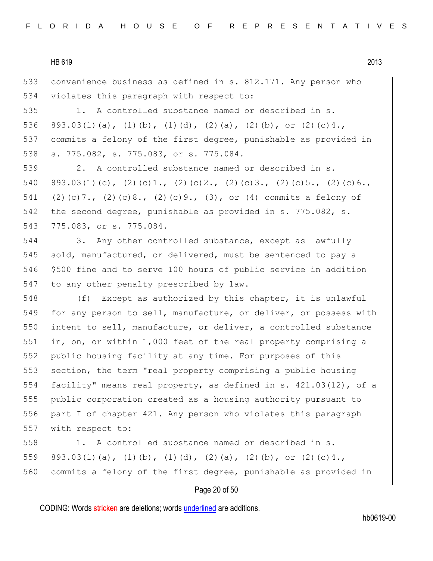533 convenience business as defined in s. 812.171. Any person who 534 violates this paragraph with respect to:

535 1. A controlled substance named or described in s. 536 893.03(1)(a), (1)(b), (1)(d), (2)(a), (2)(b), or (2)(c)4., 537 commits a felony of the first degree, punishable as provided in 538 s. 775.082, s. 775.083, or s. 775.084.

539 2. A controlled substance named or described in s. 540 893.03(1)(c), (2)(c)1., (2)(c)2., (2)(c)3., (2)(c)5., (2)(c)6., 541 (2)(c)7., (2)(c)8., (2)(c)9., (3), or (4) commits a felony of 542 the second degree, punishable as provided in s. 775.082, s. 543 775.083, or s. 775.084.

544 3. Any other controlled substance, except as lawfully 545 sold, manufactured, or delivered, must be sentenced to pay a 546 \$500 fine and to serve 100 hours of public service in addition 547 to any other penalty prescribed by law.

548 (f) Except as authorized by this chapter, it is unlawful 549 for any person to sell, manufacture, or deliver, or possess with 550 intent to sell, manufacture, or deliver, a controlled substance 551 in, on, or within 1,000 feet of the real property comprising a 552 public housing facility at any time. For purposes of this 553 section, the term "real property comprising a public housing 554 facility" means real property, as defined in s. 421.03(12), of a 555 public corporation created as a housing authority pursuant to 556 part I of chapter 421. Any person who violates this paragraph 557 with respect to:

558 1. A controlled substance named or described in s. 559 893.03(1)(a), (1)(b), (1)(d), (2)(a), (2)(b), or (2)(c)4., 560 commits a felony of the first degree, punishable as provided in

# Page 20 of 50

CODING: Words stricken are deletions; words underlined are additions.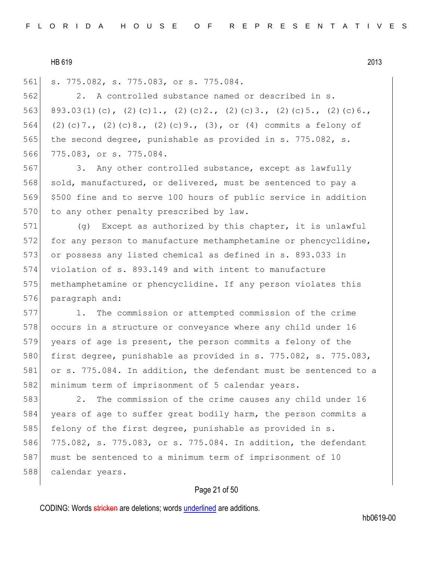561 s. 775.082, s. 775.083, or s. 775.084.

562 2. A controlled substance named or described in s. 563 893.03(1)(c), (2)(c)1., (2)(c)2., (2)(c)3., (2)(c)5., (2)(c)6., 564 (2)(c)7., (2)(c)8., (2)(c)9., (3), or (4) commits a felony of 565 the second degree, punishable as provided in s. 775.082, s. 566 775.083, or s. 775.084.

567 3. Any other controlled substance, except as lawfully 568 sold, manufactured, or delivered, must be sentenced to pay a 569 \$500 fine and to serve 100 hours of public service in addition 570 to any other penalty prescribed by law.

571 (g) Except as authorized by this chapter, it is unlawful 572 for any person to manufacture methamphetamine or phencyclidine, 573 or possess any listed chemical as defined in s. 893.033 in 574 violation of s. 893.149 and with intent to manufacture 575 methamphetamine or phencyclidine. If any person violates this 576 paragraph and:

577 1. The commission or attempted commission of the crime 578 occurs in a structure or conveyance where any child under 16 579 years of age is present, the person commits a felony of the 580 first degree, punishable as provided in s. 775.082, s. 775.083, 581 or s. 775.084. In addition, the defendant must be sentenced to a 582 minimum term of imprisonment of 5 calendar years.

583 2. The commission of the crime causes any child under 16 584 years of age to suffer great bodily harm, the person commits a 585 felony of the first degree, punishable as provided in s. 586 775.082, s. 775.083, or s. 775.084. In addition, the defendant 587 must be sentenced to a minimum term of imprisonment of 10 588 calendar years.

# Page 21 of 50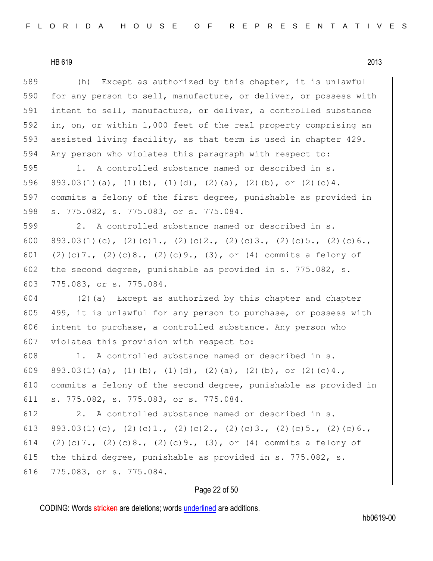589 (h) Except as authorized by this chapter, it is unlawful 590 for any person to sell, manufacture, or deliver, or possess with 591 intent to sell, manufacture, or deliver, a controlled substance 592 in, on, or within 1,000 feet of the real property comprising an 593 assisted living facility, as that term is used in chapter 429. 594 Any person who violates this paragraph with respect to: 595 1. A controlled substance named or described in s.

596 893.03(1)(a), (1)(b), (1)(d), (2)(a), (2)(b), or (2)(c)4. 597 commits a felony of the first degree, punishable as provided in 598 s. 775.082, s. 775.083, or s. 775.084.

599 2. A controlled substance named or described in s. 600 893.03(1)(c), (2)(c)1., (2)(c)2., (2)(c)3., (2)(c)5., (2)(c)6., 601 (2)(c)7., (2)(c)8., (2)(c)9., (3), or (4) commits a felony of 602 the second degree, punishable as provided in s. 775.082, s. 603 775.083, or s. 775.084.

604 (2)(a) Except as authorized by this chapter and chapter 605 499, it is unlawful for any person to purchase, or possess with 606 intent to purchase, a controlled substance. Any person who 607 violates this provision with respect to:

608 1. A controlled substance named or described in s. 609 893.03(1)(a), (1)(b), (1)(d), (2)(a), (2)(b), or (2)(c)4., 610 commits a felony of the second degree, punishable as provided in 611 s. 775.082, s. 775.083, or s. 775.084.

612 2. A controlled substance named or described in s. 613 893.03(1)(c), (2)(c)1., (2)(c)2., (2)(c)3., (2)(c)5., (2)(c)6., 614 (2)(c)7., (2)(c)8., (2)(c)9., (3), or (4) commits a felony of 615 the third degree, punishable as provided in s. 775.082, s. 616 775.083, or s. 775.084.

# Page 22 of 50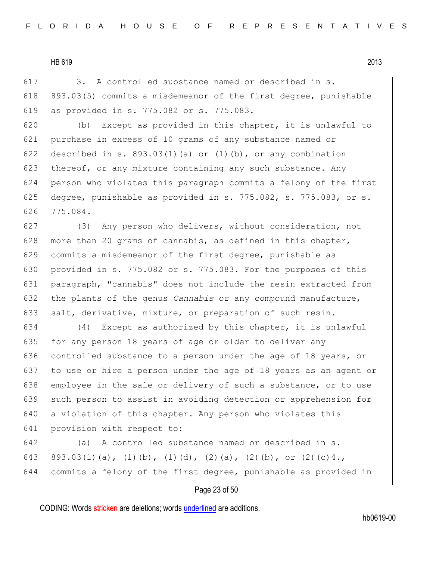617 3. A controlled substance named or described in s. 618 893.03(5) commits a misdemeanor of the first degree, punishable 619 as provided in s. 775.082 or s. 775.083.

620 (b) Except as provided in this chapter, it is unlawful to 621 purchase in excess of 10 grams of any substance named or 622 described in s. 893.03(1)(a) or (1)(b), or any combination 623 thereof, or any mixture containing any such substance. Any 624 person who violates this paragraph commits a felony of the first 625 degree, punishable as provided in s. 775.082, s. 775.083, or s. 626 775.084.

627 (3) Any person who delivers, without consideration, not 628 more than 20 grams of cannabis, as defined in this chapter, 629 commits a misdemeanor of the first degree, punishable as 630 provided in s. 775.082 or s. 775.083. For the purposes of this 631 paragraph, "cannabis" does not include the resin extracted from 632 the plants of the genus *Cannabis* or any compound manufacture, 633 salt, derivative, mixture, or preparation of such resin.

634  $(4)$  Except as authorized by this chapter, it is unlawful 635 for any person 18 years of age or older to deliver any 636 controlled substance to a person under the age of 18 years, or 637 to use or hire a person under the age of 18 years as an agent or 638 employee in the sale or delivery of such a substance, or to use 639 such person to assist in avoiding detection or apprehension for 640 a violation of this chapter. Any person who violates this 641 provision with respect to:

642 (a) A controlled substance named or described in s. 643 893.03(1)(a), (1)(b), (1)(d), (2)(a), (2)(b), or (2)(c)4., 644 commits a felony of the first degree, punishable as provided in

#### Page 23 of 50

CODING: Words stricken are deletions; words underlined are additions.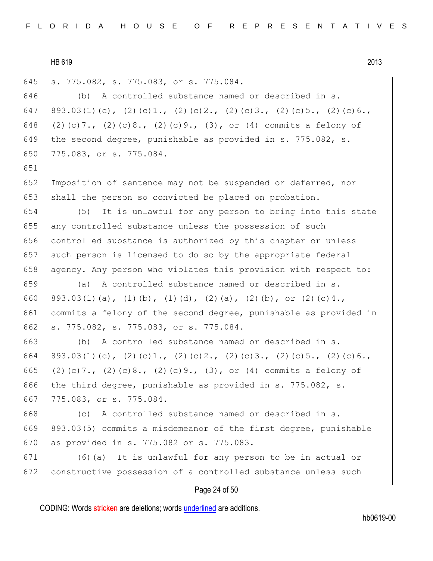651

645 s. 775.082, s. 775.083, or s. 775.084.

646 (b) A controlled substance named or described in s. 647 893.03(1)(c), (2)(c)1., (2)(c)2., (2)(c)3., (2)(c)5., (2)(c)6., 648 (2)(c)7., (2)(c)8., (2)(c)9., (3), or (4) commits a felony of 649 the second degree, punishable as provided in s. 775.082, s. 650 775.083, or s. 775.084.

652 Imposition of sentence may not be suspended or deferred, nor 653 shall the person so convicted be placed on probation.

654 (5) It is unlawful for any person to bring into this state 655 any controlled substance unless the possession of such 656 controlled substance is authorized by this chapter or unless 657 such person is licensed to do so by the appropriate federal 658 agency. Any person who violates this provision with respect to:

659 (a) A controlled substance named or described in s. 660 893.03(1)(a), (1)(b), (1)(d), (2)(a), (2)(b), or (2)(c)4., 661 commits a felony of the second degree, punishable as provided in 662 s. 775.082, s. 775.083, or s. 775.084.

663 (b) A controlled substance named or described in s. 664 893.03(1)(c), (2)(c)1., (2)(c)2., (2)(c)3., (2)(c)5., (2)(c)6., 665 (2)(c)7., (2)(c)8., (2)(c)9., (3), or (4) commits a felony of 666 the third degree, punishable as provided in s. 775.082, s. 667 775.083, or s. 775.084.

668 (c) A controlled substance named or described in s. 669 893.03(5) commits a misdemeanor of the first degree, punishable 670 as provided in s. 775.082 or s. 775.083.

671 (6)(a) It is unlawful for any person to be in actual or 672 constructive possession of a controlled substance unless such

#### Page 24 of 50

CODING: Words stricken are deletions; words underlined are additions.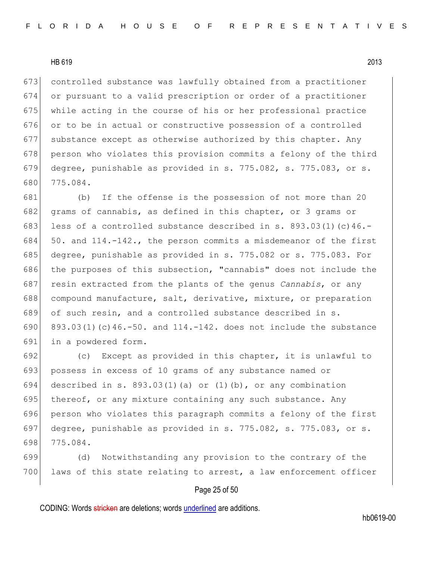controlled substance was lawfully obtained from a practitioner or pursuant to a valid prescription or order of a practitioner while acting in the course of his or her professional practice 676 or to be in actual or constructive possession of a controlled substance except as otherwise authorized by this chapter. Any 678 person who violates this provision commits a felony of the third degree, punishable as provided in s. 775.082, s. 775.083, or s. 680 775.084.

681 (b) If the offense is the possession of not more than 20 682 grams of cannabis, as defined in this chapter, or 3 grams or 683 less of a controlled substance described in s. 893.03(1)(c)46.-684  $\vert$  50. and 114.-142., the person commits a misdemeanor of the first 685 degree, punishable as provided in s. 775.082 or s. 775.083. For 686 the purposes of this subsection, "cannabis" does not include the 687 resin extracted from the plants of the genus *Cannabis*, or any 688 compound manufacture, salt, derivative, mixture, or preparation 689 of such resin, and a controlled substance described in s. 690 893.03(1)(c)46.-50. and 114.-142. does not include the substance 691 in a powdered form.

692 (c) Except as provided in this chapter, it is unlawful to 693 possess in excess of 10 grams of any substance named or 694 described in s. 893.03(1)(a) or (1)(b), or any combination 695 thereof, or any mixture containing any such substance. Any 696 person who violates this paragraph commits a felony of the first 697 degree, punishable as provided in s. 775.082, s. 775.083, or s. 698 775.084.

699 (d) Notwithstanding any provision to the contrary of the 700 laws of this state relating to arrest, a law enforcement officer

#### Page 25 of 50

CODING: Words stricken are deletions; words underlined are additions.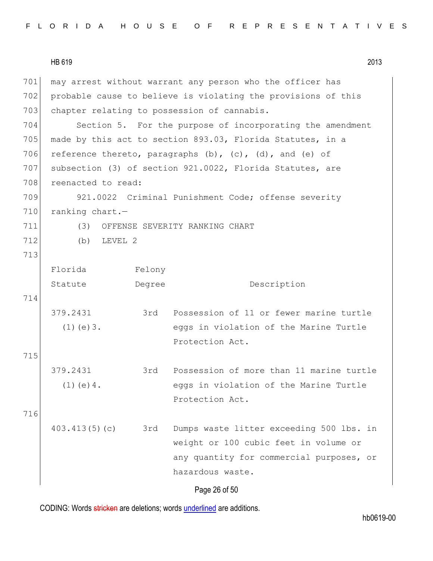|  |  |  |  |  |  |  |  | FLORIDA HOUSE OF REPRESENTATIVES |  |  |  |  |  |  |  |  |  |  |  |  |  |  |  |  |  |  |  |  |  |  |  |  |  |  |
|--|--|--|--|--|--|--|--|----------------------------------|--|--|--|--|--|--|--|--|--|--|--|--|--|--|--|--|--|--|--|--|--|--|--|--|--|--|
|--|--|--|--|--|--|--|--|----------------------------------|--|--|--|--|--|--|--|--|--|--|--|--|--|--|--|--|--|--|--|--|--|--|--|--|--|--|

|     | HB 619             |        | 2013                                                               |
|-----|--------------------|--------|--------------------------------------------------------------------|
| 701 |                    |        | may arrest without warrant any person who the officer has          |
| 702 |                    |        | probable cause to believe is violating the provisions of this      |
| 703 |                    |        | chapter relating to possession of cannabis.                        |
| 704 |                    |        | Section 5. For the purpose of incorporating the amendment          |
| 705 |                    |        | made by this act to section 893.03, Florida Statutes, in a         |
| 706 |                    |        | reference thereto, paragraphs $(b)$ , $(c)$ , $(d)$ , and $(e)$ of |
| 707 |                    |        | subsection (3) of section 921.0022, Florida Statutes, are          |
| 708 | reenacted to read: |        |                                                                    |
| 709 |                    |        | 921.0022 Criminal Punishment Code; offense severity                |
| 710 | ranking chart.-    |        |                                                                    |
| 711 |                    |        | (3) OFFENSE SEVERITY RANKING CHART                                 |
| 712 | LEVEL 2<br>(b)     |        |                                                                    |
| 713 |                    |        |                                                                    |
|     | Florida            | Felony |                                                                    |
|     | Statute            | Degree | Description                                                        |
| 714 |                    |        |                                                                    |
|     | 379.2431           | 3rd    | Possession of 11 or fewer marine turtle                            |
|     | $(1)$ (e) $3$ .    |        | eggs in violation of the Marine Turtle                             |
|     |                    |        | Protection Act.                                                    |
| 715 |                    |        |                                                                    |
|     | 379.2431           | 3rd    | Possession of more than 11 marine turtle                           |
|     | $(1)$ (e) 4.       |        | eggs in violation of the Marine Turtle                             |
|     |                    |        | Protection Act.                                                    |
| 716 |                    |        |                                                                    |
|     | 403.413(5)(c)      | 3rd    | Dumps waste litter exceeding 500 lbs. in                           |
|     |                    |        | weight or 100 cubic feet in volume or                              |
|     |                    |        | any quantity for commercial purposes, or                           |
|     |                    |        | hazardous waste.                                                   |
|     |                    |        |                                                                    |

Page 26 of 50

CODING: Words stricken are deletions; words underlined are additions.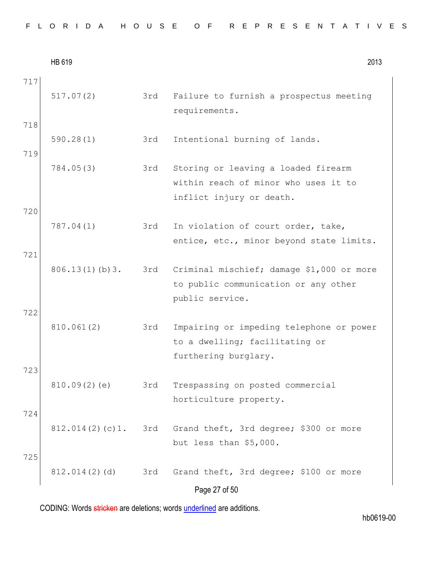| FLORIDA HOUSE OF REPRESENTATIVES |  |
|----------------------------------|--|
|----------------------------------|--|

|            | HB 619          |     | 2013                                                                                                     |
|------------|-----------------|-----|----------------------------------------------------------------------------------------------------------|
| 717        | 517.07(2)       | 3rd | Failure to furnish a prospectus meeting<br>requirements.                                                 |
| 718<br>719 | 590.28(1)       | 3rd | Intentional burning of lands.                                                                            |
|            | 784.05(3)       | 3rd | Storing or leaving a loaded firearm<br>within reach of minor who uses it to<br>inflict injury or death.  |
| 720        | 787.04(1)       | 3rd | In violation of court order, take,<br>entice, etc., minor beyond state limits.                           |
| 721        | 806.13(1)(b)3.  |     | 3rd Criminal mischief; damage \$1,000 or more<br>to public communication or any other<br>public service. |
| 722        | 810.061(2)      | 3rd | Impairing or impeding telephone or power<br>to a dwelling; facilitating or<br>furthering burglary.       |
| 723        | 810.09(2)(e)    | 3rd | Trespassing on posted commercial<br>horticulture property.                                               |
| 724        | 812.014(2)(c)1. | 3rd | Grand theft, 3rd degree; \$300 or more<br>but less than \$5,000.                                         |
| 725        | 812.014(2)(d)   | 3rd | Grand theft, 3rd degree; \$100 or more<br>Page 27 of 50                                                  |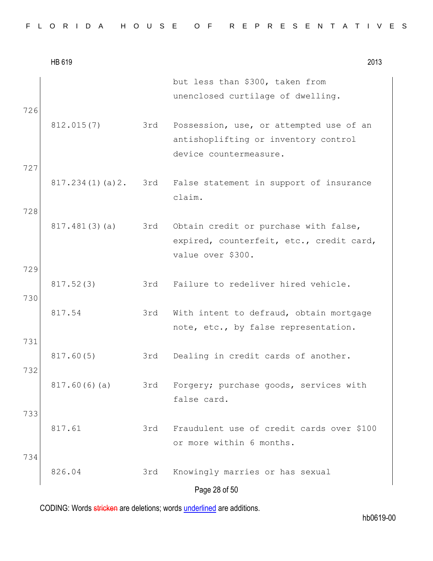|  |  |  |  |  |  |  |  |  |  |  |  |  |  |  |  |  |  |  |  |  |  |  |  |  |  |  |  |  |  |  | FLORIDA HOUSE OF REPRESENTATIVES |  |
|--|--|--|--|--|--|--|--|--|--|--|--|--|--|--|--|--|--|--|--|--|--|--|--|--|--|--|--|--|--|--|----------------------------------|--|
|--|--|--|--|--|--|--|--|--|--|--|--|--|--|--|--|--|--|--|--|--|--|--|--|--|--|--|--|--|--|--|----------------------------------|--|

|            | HB 619          |     | 2013                                                                                                      |
|------------|-----------------|-----|-----------------------------------------------------------------------------------------------------------|
| 726        |                 |     | but less than \$300, taken from<br>unenclosed curtilage of dwelling.                                      |
|            | 812.015(7)      | 3rd | Possession, use, or attempted use of an<br>antishoplifting or inventory control<br>device countermeasure. |
| 727<br>728 | 817.234(1)(a)2. |     | 3rd False statement in support of insurance<br>claim.                                                     |
|            | 817.481(3)(a)   | 3rd | Obtain credit or purchase with false,<br>expired, counterfeit, etc., credit card,<br>value over \$300.    |
| 729<br>730 | 817.52(3)       | 3rd | Failure to redeliver hired vehicle.                                                                       |
|            | 817.54          | 3rd | With intent to defraud, obtain mortgage<br>note, etc., by false representation.                           |
| 731<br>732 | 817.60(5)       | 3rd | Dealing in credit cards of another.                                                                       |
|            | 817.60(6)(a)    | 3rd | Forgery; purchase goods, services with<br>false card.                                                     |
| 733        | 817.61          | 3rd | Fraudulent use of credit cards over \$100<br>or more within 6 months.                                     |
| 734        | 826.04          | 3rd | Knowingly marries or has sexual<br>Page 28 of 50                                                          |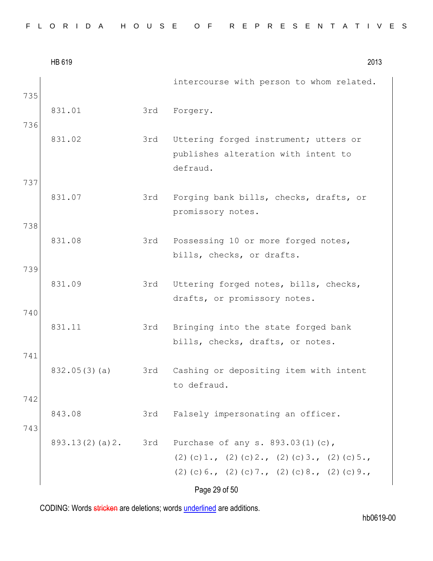|            | HB 619         |     | 2013                                                                                                                                                        |
|------------|----------------|-----|-------------------------------------------------------------------------------------------------------------------------------------------------------------|
| 735        |                |     | intercourse with person to whom related.                                                                                                                    |
|            | 831.01         | 3rd | Forgery.                                                                                                                                                    |
| 736        | 831.02         | 3rd | Uttering forged instrument; utters or<br>publishes alteration with intent to<br>defraud.                                                                    |
| 737        | 831.07         | 3rd | Forging bank bills, checks, drafts, or<br>promissory notes.                                                                                                 |
| 738        | 831.08         | 3rd | Possessing 10 or more forged notes,<br>bills, checks, or drafts.                                                                                            |
| 739        | 831.09         | 3rd | Uttering forged notes, bills, checks,<br>drafts, or promissory notes.                                                                                       |
| 740        | 831.11         | 3rd | Bringing into the state forged bank<br>bills, checks, drafts, or notes.                                                                                     |
| 741        | 832.05(3)(a)   | 3rd | Cashing or depositing item with intent<br>to defraud.                                                                                                       |
| 742<br>743 | 843.08         | 3rd | Falsely impersonating an officer.                                                                                                                           |
|            | 893.13(2)(a)2. | 3rd | Purchase of any s. 893.03(1)(c),<br>$(2)$ (c) 1., (2) (c) 2., (2) (c) 3., (2) (c) 5.,<br>$(2)$ (c) 6., (2) (c) 7., (2) (c) 8., (2) (c) 9.,<br>Page 29 of 50 |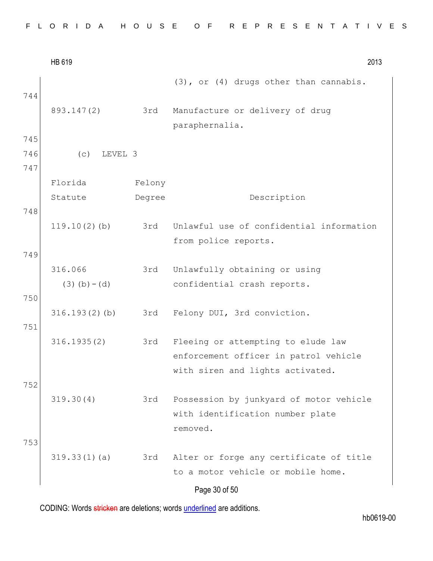|     | HB 619           |        | 2013                                              |
|-----|------------------|--------|---------------------------------------------------|
| 744 |                  |        | (3), or (4) drugs other than cannabis.            |
|     | 893.147(2)       | 3rd    | Manufacture or delivery of drug<br>paraphernalia. |
| 745 |                  |        |                                                   |
| 746 | (C)<br>LEVEL 3   |        |                                                   |
| 747 |                  |        |                                                   |
|     | Florida          | Felony |                                                   |
|     | Statute          | Degree | Description                                       |
| 748 |                  |        |                                                   |
|     | $119.10(2)$ (b)  | 3rd    | Unlawful use of confidential information          |
|     |                  |        | from police reports.                              |
| 749 |                  |        |                                                   |
|     | 316.066          | 3rd    | Unlawfully obtaining or using                     |
|     | $(3)$ (b) – (d)  |        | confidential crash reports.                       |
| 750 |                  |        |                                                   |
|     | $316.193(2)$ (b) | 3rd    | Felony DUI, 3rd conviction.                       |
| 751 |                  |        |                                                   |
|     | 316.1935(2)      | 3rd    | Fleeing or attempting to elude law                |
|     |                  |        | enforcement officer in patrol vehicle             |
|     |                  |        | with siren and lights activated.                  |
| 752 |                  |        |                                                   |
|     | 319.30(4)        | 3rd    | Possession by junkyard of motor vehicle           |
|     |                  |        | with identification number plate                  |
|     |                  |        | removed.                                          |
| 753 |                  |        |                                                   |
|     | 319.33(1)(a)     | 3rd    | Alter or forge any certificate of title           |
|     |                  |        | to a motor vehicle or mobile home.                |
|     |                  |        | Page 30 of 50                                     |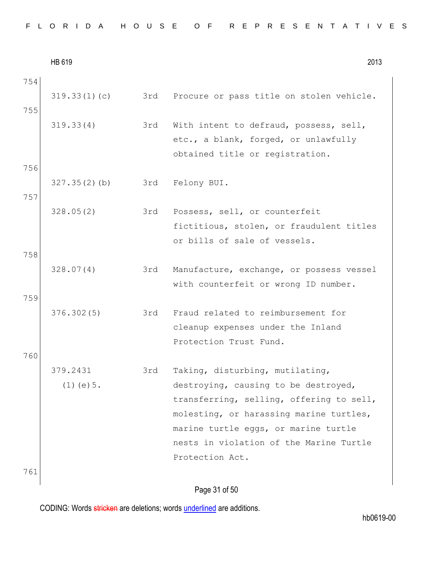| FLORIDA HOUSE OF REPRESENTATIVES |  |  |  |
|----------------------------------|--|--|--|
|----------------------------------|--|--|--|

HB 619 2013 754 319.33(1)(c) 3rd Procure or pass title on stolen vehicle. 755 319.33(4) 3rd With intent to defraud, possess, sell, etc., a blank, forged, or unlawfully obtained title or registration. 756 327.35(2)(b) 3rd Felony BUI. 757 328.05(2) 3rd Possess, sell, or counterfeit fictitious, stolen, or fraudulent titles or bills of sale of vessels. 758 328.07(4) 3rd Manufacture, exchange, or possess vessel with counterfeit or wrong ID number. 759 376.302(5) 3rd Fraud related to reimbursement for cleanup expenses under the Inland Protection Trust Fund. 760 379.2431 (1)(e)5. 3rd Taking, disturbing, mutilating, destroying, causing to be destroyed, transferring, selling, offering to sell, molesting, or harassing marine turtles, marine turtle eggs, or marine turtle nests in violation of the Marine Turtle Protection Act. 761

Page 31 of 50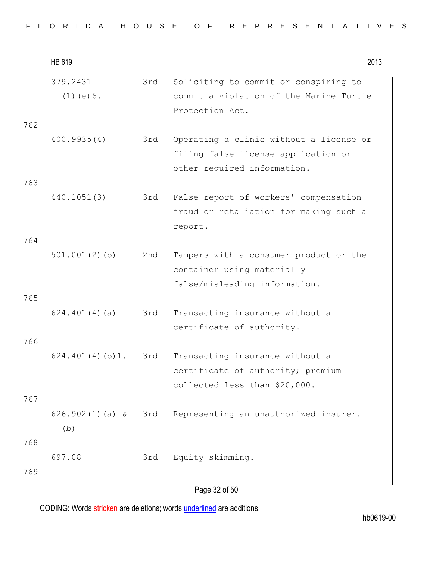|  |  |  | FLORIDA HOUSE OF REPRESENTATIVES |  |  |  |  |  |  |  |  |  |  |  |  |  |
|--|--|--|----------------------------------|--|--|--|--|--|--|--|--|--|--|--|--|--|
|  |  |  |                                  |  |  |  |  |  |  |  |  |  |  |  |  |  |

|            | HB 619                      |     | 2013                                                                                                          |
|------------|-----------------------------|-----|---------------------------------------------------------------------------------------------------------------|
| 762        | 379.2431<br>$(1)$ (e) $6$ . | 3rd | Soliciting to commit or conspiring to<br>commit a violation of the Marine Turtle<br>Protection Act.           |
|            | 400.9935(4)                 | 3rd | Operating a clinic without a license or<br>filing false license application or<br>other required information. |
| 763<br>764 | 440.1051(3)                 | 3rd | False report of workers' compensation<br>fraud or retaliation for making such a<br>report.                    |
| 765        | $501.001(2)$ (b)            | 2nd | Tampers with a consumer product or the<br>container using materially<br>false/misleading information.         |
| 766        | 624.401(4)(a)               | 3rd | Transacting insurance without a<br>certificate of authority.                                                  |
| 767        | 624.401(4)(b)1.             | 3rd | Transacting insurance without a<br>certificate of authority; premium<br>collected less than \$20,000.         |
| 768        | (b)                         |     | 626.902(1)(a) & 3rd Representing an unauthorized insurer.                                                     |
| 769        | 697.08                      | 3rd | Equity skimming.                                                                                              |
|            |                             |     | Page 32 of 50                                                                                                 |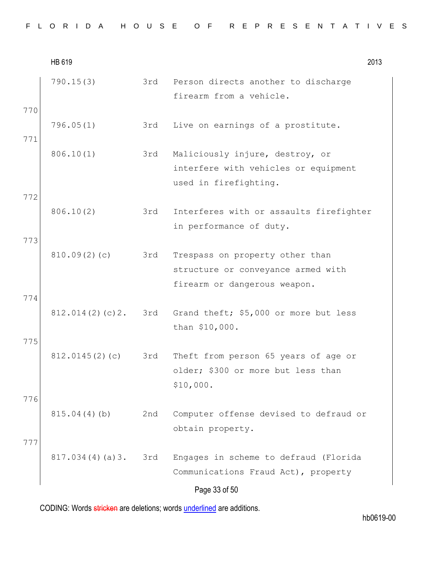|  |  |  |  |  |  |  |  |  |  |  |  |  |  | FLORIDA HOUSE OF REPRESENTATIVES |  |  |  |  |  |  |  |  |  |  |  |  |  |  |  |  |  |  |
|--|--|--|--|--|--|--|--|--|--|--|--|--|--|----------------------------------|--|--|--|--|--|--|--|--|--|--|--|--|--|--|--|--|--|--|
|--|--|--|--|--|--|--|--|--|--|--|--|--|--|----------------------------------|--|--|--|--|--|--|--|--|--|--|--|--|--|--|--|--|--|--|

|            | HB 619          |     |                                                                                                       | 2013 |
|------------|-----------------|-----|-------------------------------------------------------------------------------------------------------|------|
| 770        | 790.15(3)       | 3rd | Person directs another to discharge<br>firearm from a vehicle.                                        |      |
| 771        | 796.05(1)       | 3rd | Live on earnings of a prostitute.                                                                     |      |
|            | 806.10(1)       | 3rd | Maliciously injure, destroy, or<br>interfere with vehicles or equipment<br>used in firefighting.      |      |
| 772<br>773 | 806.10(2)       | 3rd | Interferes with or assaults firefighter<br>in performance of duty.                                    |      |
| 774        | 810.09(2)(c)    | 3rd | Trespass on property other than<br>structure or conveyance armed with<br>firearm or dangerous weapon. |      |
|            | 812.014(2)(c)2. | 3rd | Grand theft; \$5,000 or more but less<br>than \$10,000.                                               |      |
| 775<br>776 | 812.0145(2)(c)  | 3rd | Theft from person 65 years of age or<br>older; \$300 or more but less than<br>\$10,000.               |      |
| 777        | 815.04(4)(b)    | 2nd | Computer offense devised to defraud or<br>obtain property.                                            |      |
|            | 817.034(4)(a)3. | 3rd | Engages in scheme to defraud (Florida<br>Communications Fraud Act), property<br>Page 33 of 50         |      |
|            |                 |     |                                                                                                       |      |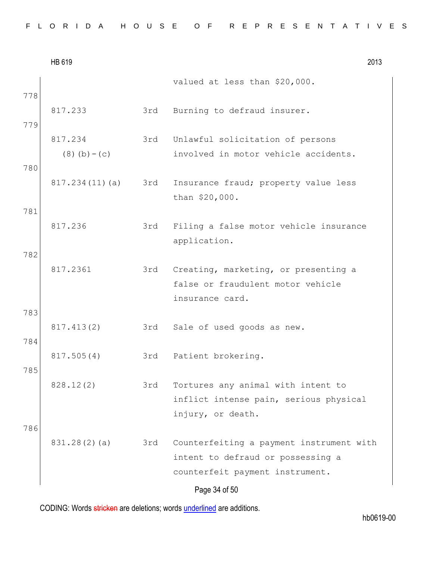| FLORIDA HOUSE OF REPRESENTATIVES |  |  |  |  |  |  |  |  |  |  |  |  |  |  |  |  |  |  |  |  |  |  |  |  |  |  |  |  |  |  |  |
|----------------------------------|--|--|--|--|--|--|--|--|--|--|--|--|--|--|--|--|--|--|--|--|--|--|--|--|--|--|--|--|--|--|--|
|----------------------------------|--|--|--|--|--|--|--|--|--|--|--|--|--|--|--|--|--|--|--|--|--|--|--|--|--|--|--|--|--|--|--|

|            | HB 619                     |     |                                                                                                                  | 2013 |
|------------|----------------------------|-----|------------------------------------------------------------------------------------------------------------------|------|
|            |                            |     | valued at less than \$20,000.                                                                                    |      |
| 778<br>779 | 817.233                    | 3rd | Burning to defraud insurer.                                                                                      |      |
|            | 817.234<br>$(8)$ (b) – (c) |     | 3rd Unlawful solicitation of persons<br>involved in motor vehicle accidents.                                     |      |
| 780        |                            |     |                                                                                                                  |      |
|            | 817.234(11)(a)             | 3rd | Insurance fraud; property value less<br>than \$20,000.                                                           |      |
| 781        |                            |     |                                                                                                                  |      |
|            | 817.236                    | 3rd | Filing a false motor vehicle insurance<br>application.                                                           |      |
| 782        | 817.2361                   | 3rd | Creating, marketing, or presenting a<br>false or fraudulent motor vehicle<br>insurance card.                     |      |
| 783        |                            |     |                                                                                                                  |      |
| 784        | 817.413(2)                 | 3rd | Sale of used goods as new.                                                                                       |      |
| 785        | 817.505(4)                 |     | 3rd Patient brokering.                                                                                           |      |
|            | 828.12(2)                  | 3rd | Tortures any animal with intent to<br>inflict intense pain, serious physical<br>injury, or death.                |      |
| 786        | 831.28(2)(a)               | 3rd | Counterfeiting a payment instrument with<br>intent to defraud or possessing a<br>counterfeit payment instrument. |      |
|            |                            |     | Page 34 of 50                                                                                                    |      |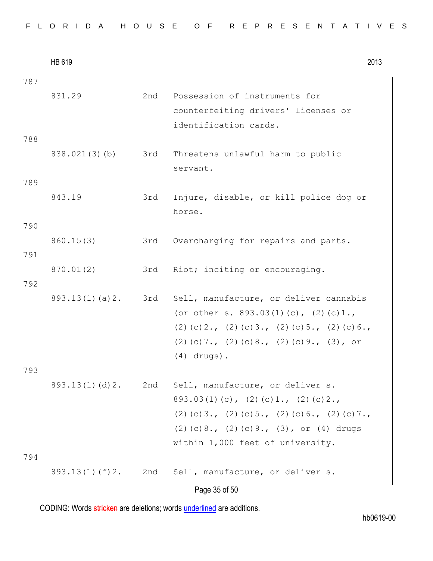HB 619 2013 Page 35 of 50 787 831.29 2nd Possession of instruments for counterfeiting drivers' licenses or identification cards. 788 838.021(3)(b) 3rd Threatens unlawful harm to public servant. 789 843.19 3rd Injure, disable, or kill police dog or horse. 790 860.15(3) 3rd Overcharging for repairs and parts. 791 870.01(2) 3rd Riot; inciting or encouraging. 792 893.13(1)(a)2. 3rd Sell, manufacture, or deliver cannabis (or other s. 893.03(1)(c), (2)(c)1., (2)(c)2., (2)(c)3., (2)(c)5., (2)(c)6., (2)(c)7., (2)(c)8., (2)(c)9., (3), or (4) drugs). 793 893.13(1)(d)2. 2nd Sell, manufacture, or deliver s. 893.03(1)(c), (2)(c)1., (2)(c)2., (2)(c)3., (2)(c)5., (2)(c)6., (2)(c)7., (2)(c)8., (2)(c)9., (3), or (4) drugs within 1,000 feet of university. 794 893.13(1)(f)2. 2nd Sell, manufacture, or deliver s.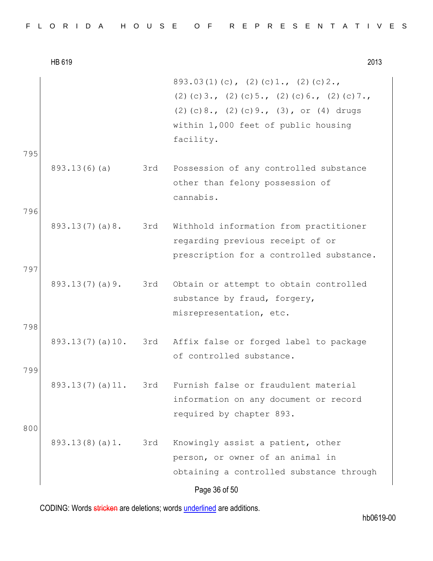|  |  |  | FLORIDA HOUSE OF REPRESENTATIVES |  |  |  |  |  |  |  |  |  |  |  |  |  |
|--|--|--|----------------------------------|--|--|--|--|--|--|--|--|--|--|--|--|--|
|  |  |  |                                  |  |  |  |  |  |  |  |  |  |  |  |  |  |

HB 619 2013 Page 36 of 50 893.03(1)(c), (2)(c)1., (2)(c)2., (2)(c)3., (2)(c)5., (2)(c)6., (2)(c)7., (2)(c)8., (2)(c)9., (3), or (4) drugs within 1,000 feet of public housing facility. 795 893.13(6)(a) 3rd Possession of any controlled substance other than felony possession of cannabis. 796 893.13(7)(a)8. 3rd Withhold information from practitioner regarding previous receipt of or prescription for a controlled substance. 797 893.13(7)(a)9. 3rd Obtain or attempt to obtain controlled substance by fraud, forgery, misrepresentation, etc. 798 893.13(7)(a)10. 3rd Affix false or forged label to package of controlled substance. 799 893.13(7)(a)11. 3rd Furnish false or fraudulent material information on any document or record required by chapter 893. 800 893.13(8)(a)1. 3rd Knowingly assist a patient, other person, or owner of an animal in obtaining a controlled substance through

CODING: Words stricken are deletions; words underlined are additions.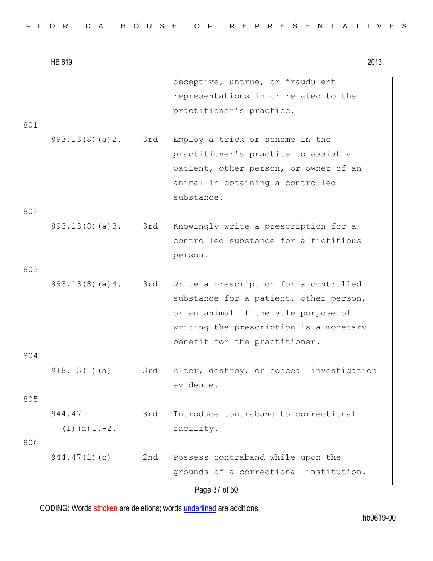|  |  |  |  |  |  |  |  |  |  |  |  |  |  |  |  |  |  |  |  |  |  |  |  |  |  |  |  |  |  |  | FLORIDA HOUSE OF REPRESENTATIVES |  |
|--|--|--|--|--|--|--|--|--|--|--|--|--|--|--|--|--|--|--|--|--|--|--|--|--|--|--|--|--|--|--|----------------------------------|--|
|--|--|--|--|--|--|--|--|--|--|--|--|--|--|--|--|--|--|--|--|--|--|--|--|--|--|--|--|--|--|--|----------------------------------|--|

|     | HB 619                       |     | 2013                                                                                                                                                                                              |  |
|-----|------------------------------|-----|---------------------------------------------------------------------------------------------------------------------------------------------------------------------------------------------------|--|
| 801 |                              |     | deceptive, untrue, or fraudulent<br>representations in or related to the<br>practitioner's practice.                                                                                              |  |
|     | 893.13(8)(a)2.               | 3rd | Employ a trick or scheme in the<br>practitioner's practice to assist a<br>patient, other person, or owner of an<br>animal in obtaining a controlled<br>substance.                                 |  |
| 802 |                              |     |                                                                                                                                                                                                   |  |
|     | 893.13(8)(a)3.               | 3rd | Knowingly write a prescription for a<br>controlled substance for a fictitious<br>person.                                                                                                          |  |
| 803 |                              |     |                                                                                                                                                                                                   |  |
|     | 893.13(8)(a)4.               | 3rd | Write a prescription for a controlled<br>substance for a patient, other person,<br>or an animal if the sole purpose of<br>writing the prescription is a monetary<br>benefit for the practitioner. |  |
| 804 |                              |     |                                                                                                                                                                                                   |  |
|     | 918.13(1)(a)                 | 3rd | Alter, destroy, or conceal investigation<br>evidence.                                                                                                                                             |  |
| 805 |                              |     |                                                                                                                                                                                                   |  |
| 806 | 944.47<br>$(1)$ (a) $1.-2$ . | 3rd | Introduce contraband to correctional<br>facility.                                                                                                                                                 |  |
|     | 944.47(1)(c)                 | 2nd | Possess contraband while upon the<br>grounds of a correctional institution.                                                                                                                       |  |
|     |                              |     | Page 37 of 50                                                                                                                                                                                     |  |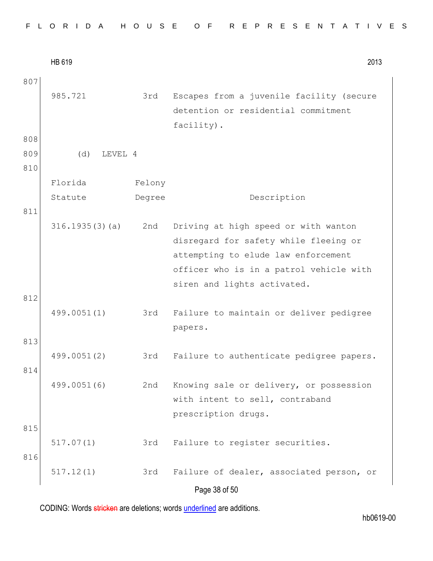|  |  |  |  |  |  |  |  |  |  | FLORIDA HOUSE OF REPRESENTATIVES |  |  |  |  |  |  |  |  |  |  |  |  |  |  |  |  |
|--|--|--|--|--|--|--|--|--|--|----------------------------------|--|--|--|--|--|--|--|--|--|--|--|--|--|--|--|--|
|--|--|--|--|--|--|--|--|--|--|----------------------------------|--|--|--|--|--|--|--|--|--|--|--|--|--|--|--|--|

HB 619 2013 Page 38 of 50 807 985.721 3rd Escapes from a juvenile facility (secure detention or residential commitment facility). 808 809 (d) LEVEL 4 810 Florida Statute Felony Degree Description 811 316.1935(3)(a) 2nd Driving at high speed or with wanton disregard for safety while fleeing or attempting to elude law enforcement officer who is in a patrol vehicle with siren and lights activated. 812 499.0051(1) 3rd Failure to maintain or deliver pedigree papers. 813 499.0051(2) 3rd Failure to authenticate pedigree papers. 814 499.0051(6) 2nd Knowing sale or delivery, or possession with intent to sell, contraband prescription drugs. 815 517.07(1) 3rd Failure to register securities. 816 517.12(1) 3rd Failure of dealer, associated person, or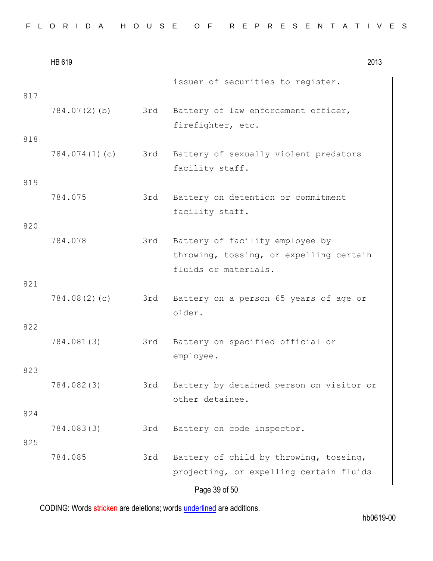|  |  | FLORIDA HOUSE OF REPRESENTATIVES |
|--|--|----------------------------------|
|--|--|----------------------------------|

|            | HB 619        |     | 2013                                                                                               |  |
|------------|---------------|-----|----------------------------------------------------------------------------------------------------|--|
| 817        |               |     | issuer of securities to register.                                                                  |  |
|            | 784.07(2)(b)  | 3rd | Battery of law enforcement officer,<br>firefighter, etc.                                           |  |
| 818        | 784.074(1)(c) | 3rd | Battery of sexually violent predators<br>facility staff.                                           |  |
| 819        | 784.075       | 3rd | Battery on detention or commitment<br>facility staff.                                              |  |
| 820        | 784.078       | 3rd | Battery of facility employee by<br>throwing, tossing, or expelling certain<br>fluids or materials. |  |
| 821        | 784.08(2)(c)  | 3rd | Battery on a person 65 years of age or<br>older.                                                   |  |
| 822        | 784.081(3)    | 3rd | Battery on specified official or<br>employee.                                                      |  |
| 823        | 784.082(3)    | 3rd | Battery by detained person on visitor or<br>other detainee.                                        |  |
| 824<br>825 | 784.083(3)    | 3rd | Battery on code inspector.                                                                         |  |
|            | 784.085       | 3rd | Battery of child by throwing, tossing,<br>projecting, or expelling certain fluids                  |  |
|            |               |     | Page 39 of 50                                                                                      |  |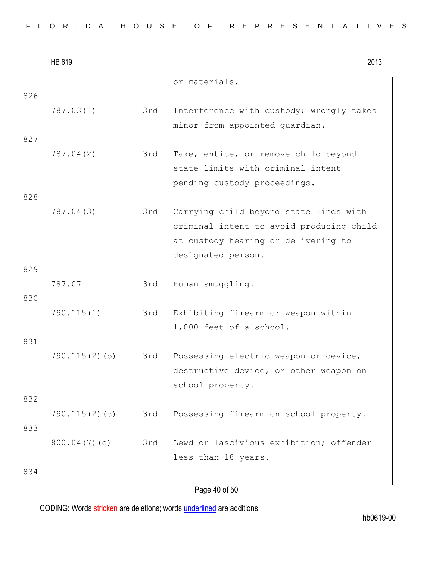|  |  | FLORIDA HOUSE OF REPRESENTATIVES |
|--|--|----------------------------------|
|--|--|----------------------------------|

|     | HB 619        |     | 2013                                                                                                                                            |
|-----|---------------|-----|-------------------------------------------------------------------------------------------------------------------------------------------------|
| 826 |               |     | or materials.                                                                                                                                   |
|     | 787.03(1)     | 3rd | Interference with custody; wrongly takes<br>minor from appointed guardian.                                                                      |
| 827 |               |     |                                                                                                                                                 |
|     | 787.04(2)     | 3rd | Take, entice, or remove child beyond<br>state limits with criminal intent<br>pending custody proceedings.                                       |
| 828 |               |     |                                                                                                                                                 |
|     | 787.04(3)     | 3rd | Carrying child beyond state lines with<br>criminal intent to avoid producing child<br>at custody hearing or delivering to<br>designated person. |
| 829 |               |     |                                                                                                                                                 |
| 830 | 787.07        | 3rd | Human smuggling.                                                                                                                                |
|     | 790.115(1)    | 3rd | Exhibiting firearm or weapon within<br>1,000 feet of a school.                                                                                  |
| 831 |               |     |                                                                                                                                                 |
|     | 790.115(2)(b) | 3rd | Possessing electric weapon or device,<br>destructive device, or other weapon on<br>school property.                                             |
| 832 |               |     |                                                                                                                                                 |
| 833 | 790.115(2)(c) | 3rd | Possessing firearm on school property.                                                                                                          |
|     | 800.04(7)(c)  | 3rd | Lewd or lascivious exhibition; offender<br>less than 18 years.                                                                                  |
| 834 |               |     |                                                                                                                                                 |
|     |               |     | Page 40 of 50                                                                                                                                   |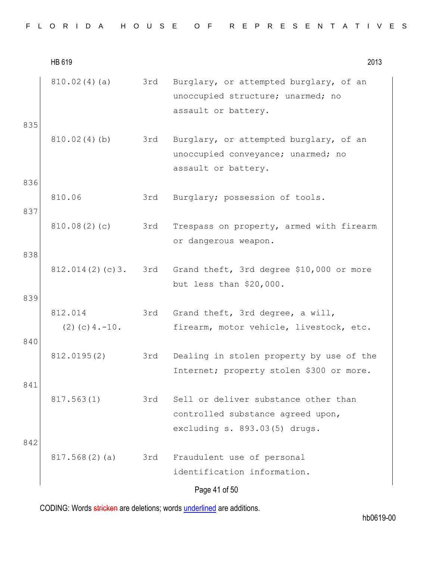|  |  |  |  |  |  |  |  |  |  |  |  |  |  |  |  |  |  |  |  |  |  |  |  |  |  |  |  |  |  |  | FLORIDA HOUSE OF REPRESENTATIVES |  |
|--|--|--|--|--|--|--|--|--|--|--|--|--|--|--|--|--|--|--|--|--|--|--|--|--|--|--|--|--|--|--|----------------------------------|--|
|--|--|--|--|--|--|--|--|--|--|--|--|--|--|--|--|--|--|--|--|--|--|--|--|--|--|--|--|--|--|--|----------------------------------|--|

HB 619 2013 Page 41 of 50 810.02(4)(a) 3rd Burglary, or attempted burglary, of an unoccupied structure; unarmed; no assault or battery. 835 810.02(4)(b) 3rd Burglary, or attempted burglary, of an unoccupied conveyance; unarmed; no assault or battery. 836 810.06 3rd Burglary; possession of tools. 837 810.08(2)(c) 3rd Trespass on property, armed with firearm or dangerous weapon. 838 812.014(2)(c)3. 3rd Grand theft, 3rd degree \$10,000 or more but less than \$20,000. 839 812.014  $(2)(c)4.-10.$ 3rd Grand theft, 3rd degree, a will, firearm, motor vehicle, livestock, etc. 840 812.0195(2) 3rd Dealing in stolen property by use of the Internet; property stolen \$300 or more. 841 817.563(1) 3rd Sell or deliver substance other than controlled substance agreed upon, excluding s. 893.03(5) drugs. 842 817.568(2)(a) 3rd Fraudulent use of personal identification information.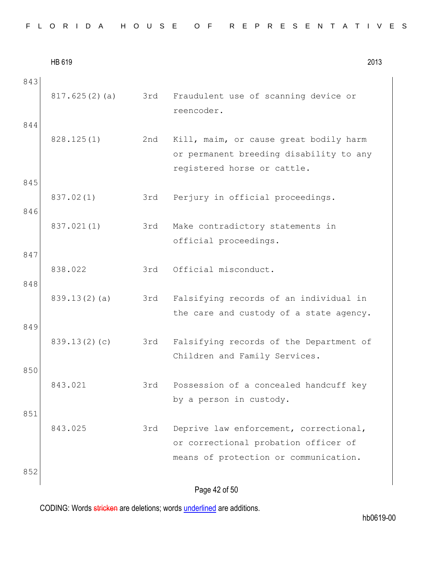|  |  |  |  |  |  |  |  |  |  | FLORIDA HOUSE OF REPRESENTATIVES |  |  |  |  |  |  |  |  |  |  |  |  |  |  |  |
|--|--|--|--|--|--|--|--|--|--|----------------------------------|--|--|--|--|--|--|--|--|--|--|--|--|--|--|--|
|--|--|--|--|--|--|--|--|--|--|----------------------------------|--|--|--|--|--|--|--|--|--|--|--|--|--|--|--|

|            | HB 619        |     | 2013                                                                                                                    |
|------------|---------------|-----|-------------------------------------------------------------------------------------------------------------------------|
| 843<br>844 | 817.625(2)(a) | 3rd | Fraudulent use of scanning device or<br>reencoder.                                                                      |
|            | 828.125(1)    | 2nd | Kill, maim, or cause great bodily harm<br>or permanent breeding disability to any<br>registered horse or cattle.        |
| 845<br>846 | 837.02(1)     | 3rd | Perjury in official proceedings.                                                                                        |
|            | 837.021(1)    | 3rd | Make contradictory statements in<br>official proceedings.                                                               |
| 847<br>848 | 838.022       | 3rd | Official misconduct.                                                                                                    |
|            | 839.13(2)(a)  | 3rd | Falsifying records of an individual in<br>the care and custody of a state agency.                                       |
| 849        | 839.13(2)(c)  | 3rd | Falsifying records of the Department of<br>Children and Family Services.                                                |
| 850        | 843.021       | 3rd | Possession of a concealed handcuff key<br>by a person in custody.                                                       |
| 851        | 843.025       | 3rd | Deprive law enforcement, correctional,<br>or correctional probation officer of<br>means of protection or communication. |
| 852        |               |     | Page 42 of 50                                                                                                           |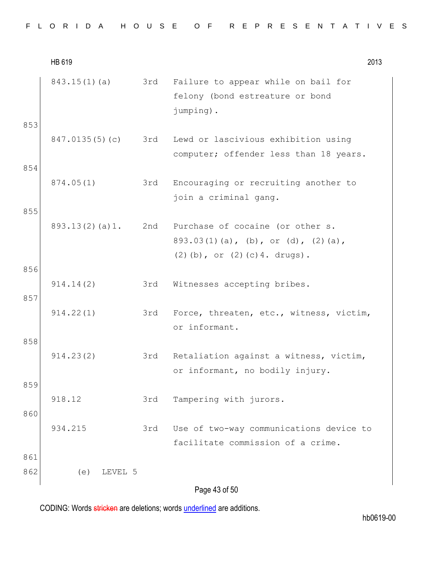|            | HB 619         |     | 2013                                                                                                             |
|------------|----------------|-----|------------------------------------------------------------------------------------------------------------------|
| 853        | 843.15(1)(a)   | 3rd | Failure to appear while on bail for<br>felony (bond estreature or bond<br>jumping).                              |
| 854        | 847.0135(5)(c) |     | 3rd Lewd or lascivious exhibition using<br>computer; offender less than 18 years.                                |
|            | 874.05(1)      | 3rd | Encouraging or recruiting another to<br>join a criminal gang.                                                    |
| 855        | 893.13(2)(a)1. |     | 2nd Purchase of cocaine (or other s.<br>893.03(1)(a), (b), or (d), (2)(a),<br>$(2)$ (b), or $(2)$ (c) 4. drugs). |
| 856<br>857 | 914.14(2)      | 3rd | Witnesses accepting bribes.                                                                                      |
|            | 914.22(1)      | 3rd | Force, threaten, etc., witness, victim,<br>or informant.                                                         |
| 858        | 914.23(2)      | 3rd | Retaliation against a witness, victim,<br>or informant, no bodily injury.                                        |
| 859<br>860 | 918.12         | 3rd | Tampering with jurors.                                                                                           |
|            | 934.215        | 3rd | Use of two-way communications device to<br>facilitate commission of a crime.                                     |
| 861        |                |     |                                                                                                                  |
| 862        | LEVEL 5<br>(e) |     |                                                                                                                  |
|            |                |     | Page 43 of 50                                                                                                    |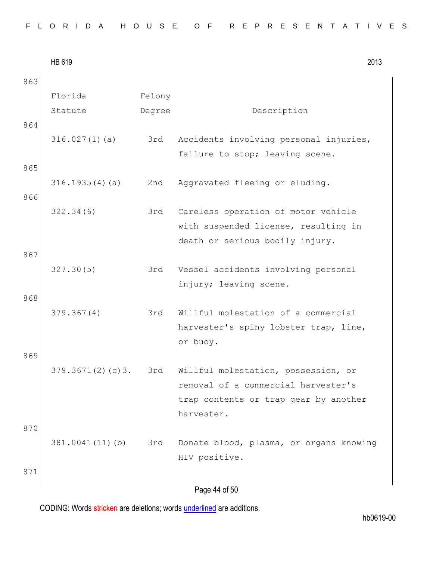| 863 |                  |        |                                         |
|-----|------------------|--------|-----------------------------------------|
|     | Florida          | Felony |                                         |
|     | Statute          | Degree | Description                             |
| 864 |                  |        |                                         |
|     | 316.027(1)(a)    | 3rd    | Accidents involving personal injuries,  |
|     |                  |        | failure to stop; leaving scene.         |
| 865 |                  |        |                                         |
|     | 316.1935(4)(a)   | 2nd    | Aggravated fleeing or eluding.          |
| 866 | 322.34(6)        | 3rd    | Careless operation of motor vehicle     |
|     |                  |        | with suspended license, resulting in    |
|     |                  |        | death or serious bodily injury.         |
| 867 |                  |        |                                         |
|     | 327.30(5)        | 3rd    | Vessel accidents involving personal     |
| 868 |                  |        | injury; leaving scene.                  |
|     | 379.367(4)       | 3rd    | Willful molestation of a commercial     |
|     |                  |        | harvester's spiny lobster trap, line,   |
|     |                  |        | or buoy.                                |
| 869 |                  |        |                                         |
|     | 379.3671(2)(c)3. | 3rd    | Willful molestation, possession, or     |
|     |                  |        | removal of a commercial harvester's     |
|     |                  |        | trap contents or trap gear by another   |
|     |                  |        | harvester.                              |
| 870 |                  |        |                                         |
|     | 381.0041(11)(b)  | 3rd    | Donate blood, plasma, or organs knowing |
|     |                  |        | HIV positive.                           |
| 871 |                  |        |                                         |
|     |                  |        | Page 44 of 50                           |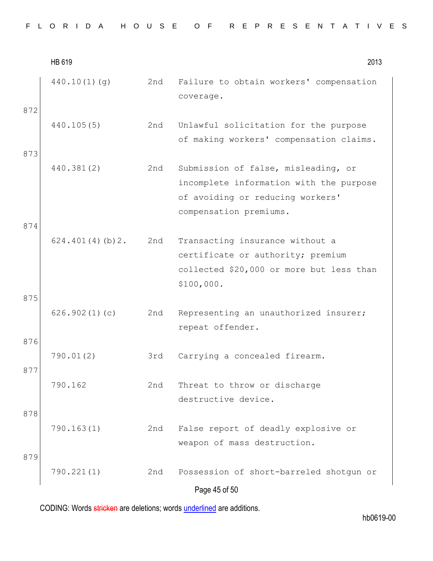|  |  |  |  |  |  |  |  |  |  |  |  |  |  | FLORIDA HOUSE OF REPRESENTATIVES |  |  |  |  |  |  |  |  |  |  |  |  |  |  |  |  |
|--|--|--|--|--|--|--|--|--|--|--|--|--|--|----------------------------------|--|--|--|--|--|--|--|--|--|--|--|--|--|--|--|--|
|--|--|--|--|--|--|--|--|--|--|--|--|--|--|----------------------------------|--|--|--|--|--|--|--|--|--|--|--|--|--|--|--|--|

|            | HB 619          |     | 2013                                                                                                                                         |
|------------|-----------------|-----|----------------------------------------------------------------------------------------------------------------------------------------------|
| 872        | 440.10(1)(q)    | 2nd | Failure to obtain workers' compensation<br>coverage.                                                                                         |
| 873        | 440.105(5)      | 2nd | Unlawful solicitation for the purpose<br>of making workers' compensation claims.                                                             |
| 874        | 440.381(2)      | 2nd | Submission of false, misleading, or<br>incomplete information with the purpose<br>of avoiding or reducing workers'<br>compensation premiums. |
| 875        | 624.401(4)(b)2. | 2nd | Transacting insurance without a<br>certificate or authority; premium<br>collected \$20,000 or more but less than<br>\$100,000.               |
|            | 626.902(1)(c)   | 2nd | Representing an unauthorized insurer;<br>repeat offender.                                                                                    |
| 876<br>877 | 790.01(2)       | 3rd | Carrying a concealed firearm.                                                                                                                |
|            | 790.162         | 2nd | Threat to throw or discharge<br>destructive device.                                                                                          |
| 878<br>879 | 790.163(1)      | 2nd | False report of deadly explosive or<br>weapon of mass destruction.                                                                           |
|            | 790.221(1)      | 2nd | Possession of short-barreled shotgun or<br>Page 45 of 50                                                                                     |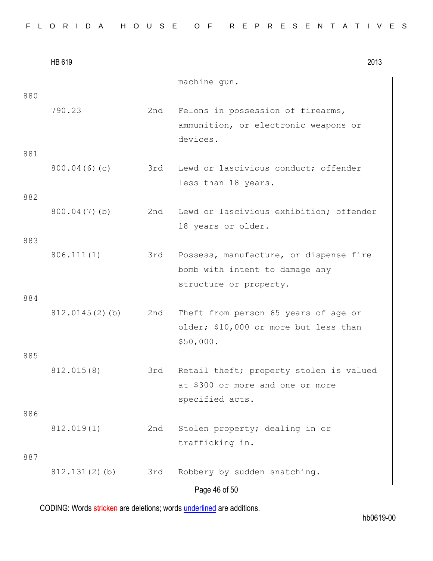|            | HB 619            |     | 2013                                                                                               |
|------------|-------------------|-----|----------------------------------------------------------------------------------------------------|
| 880        |                   |     | machine gun.                                                                                       |
|            | 790.23            | 2nd | Felons in possession of firearms,<br>ammunition, or electronic weapons or<br>devices.              |
| 881        | 800.04(6)(c)      | 3rd | Lewd or lascivious conduct; offender<br>less than 18 years.                                        |
| 882        | $800.04(7)$ (b)   | 2nd | Lewd or lascivious exhibition; offender<br>18 years or older.                                      |
| 883<br>884 | 806.111(1)        | 3rd | Possess, manufacture, or dispense fire<br>bomb with intent to damage any<br>structure or property. |
| 885        | $812.0145(2)$ (b) | 2nd | Theft from person 65 years of age or<br>older; \$10,000 or more but less than<br>\$50,000.         |
|            | 812.015(8)        | 3rd | Retail theft; property stolen is valued<br>at \$300 or more and one or more<br>specified acts.     |
| 886<br>887 | 812.019(1)        | 2nd | Stolen property; dealing in or<br>trafficking in.                                                  |
|            | $812.131(2)$ (b)  | 3rd | Robbery by sudden snatching.<br>Page 46 of 50                                                      |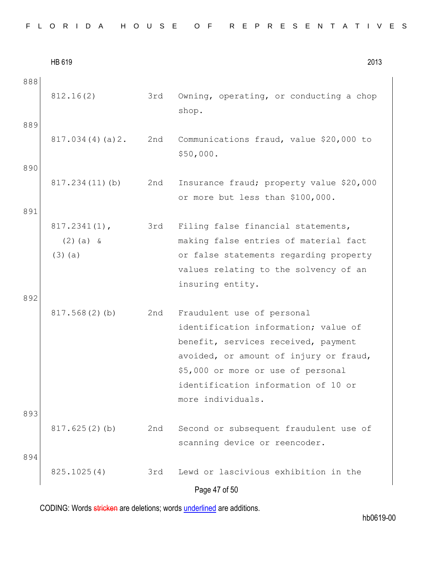|  |  |  |  |  |  |  |  |  | FLORIDA HOUSE OF REPRESENTATIVES |  |
|--|--|--|--|--|--|--|--|--|----------------------------------|--|
|--|--|--|--|--|--|--|--|--|----------------------------------|--|

|            | HB 619                                      |     | 2013                                                                                                                                                                                                                                                  |
|------------|---------------------------------------------|-----|-------------------------------------------------------------------------------------------------------------------------------------------------------------------------------------------------------------------------------------------------------|
| 888<br>889 | 812.16(2)                                   | 3rd | Owning, operating, or conducting a chop<br>shop.                                                                                                                                                                                                      |
|            | 817.034(4)(a)2.                             | 2nd | Communications fraud, value \$20,000 to<br>\$50,000.                                                                                                                                                                                                  |
| 890        | 817.234(11)(b)                              | 2nd | Insurance fraud; property value \$20,000<br>or more but less than \$100,000.                                                                                                                                                                          |
| 891        | $817.2341(1)$ ,<br>$(2)$ (a) &<br>$(3)$ (a) | 3rd | Filing false financial statements,<br>making false entries of material fact<br>or false statements regarding property<br>values relating to the solvency of an<br>insuring entity.                                                                    |
| 892        | 817.568(2)(b)                               | 2nd | Fraudulent use of personal<br>identification information; value of<br>benefit, services received, payment<br>avoided, or amount of injury or fraud,<br>\$5,000 or more or use of personal<br>identification information of 10 or<br>more individuals. |
| 893        | 817.625(2)(b)                               | 2nd | Second or subsequent fraudulent use of<br>scanning device or reencoder.                                                                                                                                                                               |
| 894        | 825.1025(4)                                 | 3rd | Lewd or lascivious exhibition in the<br>Page 47 of 50                                                                                                                                                                                                 |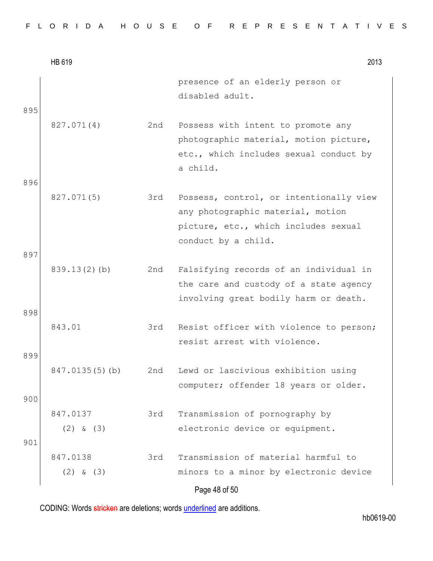| FLORIDA HOUSE OF REPRESENTATIVES |  |  |  |  |  |  |  |  |  |  |  |  |  |  |  |  |  |  |  |  |  |  |  |  |  |  |  |  |  |  |  |
|----------------------------------|--|--|--|--|--|--|--|--|--|--|--|--|--|--|--|--|--|--|--|--|--|--|--|--|--|--|--|--|--|--|--|
|----------------------------------|--|--|--|--|--|--|--|--|--|--|--|--|--|--|--|--|--|--|--|--|--|--|--|--|--|--|--|--|--|--|--|

|            | HB 619                    |     | 2013                                                                                                                                        |
|------------|---------------------------|-----|---------------------------------------------------------------------------------------------------------------------------------------------|
| 895        |                           |     | presence of an elderly person or<br>disabled adult.                                                                                         |
| 896        | 827.071(4)                | 2nd | Possess with intent to promote any<br>photographic material, motion picture,<br>etc., which includes sexual conduct by<br>a child.          |
| 897        | 827.071(5)                | 3rd | Possess, control, or intentionally view<br>any photographic material, motion<br>picture, etc., which includes sexual<br>conduct by a child. |
| 898        | $839.13(2)$ (b)           | 2nd | Falsifying records of an individual in<br>the care and custody of a state agency<br>involving great bodily harm or death.                   |
|            | 843.01                    | 3rd | Resist officer with violence to person;<br>resist arrest with violence.                                                                     |
| 899<br>900 | 847.0135(5)(b)            | 2nd | Lewd or lascivious exhibition using<br>computer; offender 18 years or older.                                                                |
| 901        | 847.0137<br>$(2)$ & $(3)$ | 3rd | Transmission of pornography by<br>electronic device or equipment.                                                                           |
|            | 847.0138<br>$(2)$ & $(3)$ | 3rd | Transmission of material harmful to<br>minors to a minor by electronic device<br>Page 48 of 50                                              |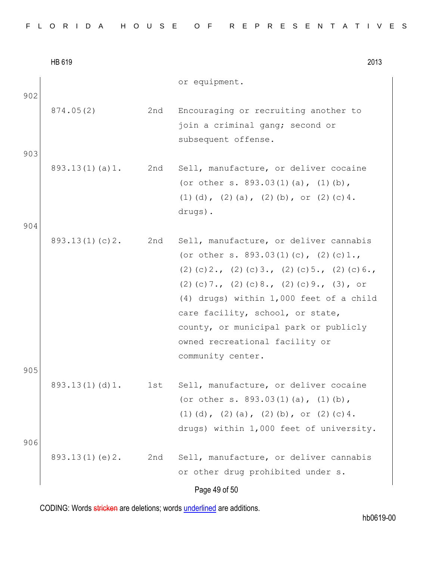|     | HB 619         |     | 2013                                                                                                                                                                                                                                                                                                                                                                |
|-----|----------------|-----|---------------------------------------------------------------------------------------------------------------------------------------------------------------------------------------------------------------------------------------------------------------------------------------------------------------------------------------------------------------------|
| 902 |                |     | or equipment.                                                                                                                                                                                                                                                                                                                                                       |
| 903 | 874.05(2)      | 2nd | Encouraging or recruiting another to<br>join a criminal gang; second or<br>subsequent offense.                                                                                                                                                                                                                                                                      |
|     | 893.13(1)(a)1. | 2nd | Sell, manufacture, or deliver cocaine<br>(or other s. 893.03(1)(a), (1)(b),<br>(1) (d), (2) (a), (2) (b), or (2) (c) 4.<br>drugs).                                                                                                                                                                                                                                  |
| 904 |                |     |                                                                                                                                                                                                                                                                                                                                                                     |
| 905 | 893.13(1)(c)2. | 2nd | Sell, manufacture, or deliver cannabis<br>(or other s. 893.03(1)(c), (2)(c)1.,<br>$(2)$ (c) 2., (2) (c) 3., (2) (c) 5., (2) (c) 6.,<br>$(2)$ (c) 7., (2) (c) 8., (2) (c) 9., (3), or<br>(4) drugs) within 1,000 feet of a child<br>care facility, school, or state,<br>county, or municipal park or publicly<br>owned recreational facility or<br>community center. |
|     | 893.13(1)(d)1. | 1st | Sell, manufacture, or deliver cocaine<br>(or other s. $893.03(1)(a)$ , $(1)(b)$ ,<br>(1) (d), (2) (a), (2) (b), or (2) (c) 4.<br>drugs) within 1,000 feet of university.                                                                                                                                                                                            |
| 906 |                |     |                                                                                                                                                                                                                                                                                                                                                                     |
|     | 893.13(1)(e)2. | 2nd | Sell, manufacture, or deliver cannabis<br>or other drug prohibited under s.                                                                                                                                                                                                                                                                                         |
|     |                |     | Page 49 of 50                                                                                                                                                                                                                                                                                                                                                       |